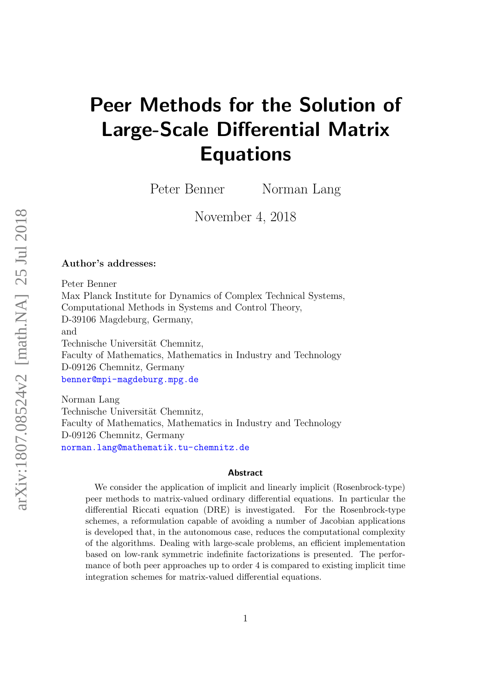# Peer Methods for the Solution of Large-Scale Differential Matrix Equations

Peter Benner Norman Lang

November 4, 2018

#### Author's addresses:

Peter Benner Max Planck Institute for Dynamics of Complex Technical Systems, Computational Methods in Systems and Control Theory, D-39106 Magdeburg, Germany, and Technische Universität Chemnitz, Faculty of Mathematics, Mathematics in Industry and Technology D-09126 Chemnitz, Germany <benner@mpi-magdeburg.mpg.de>

Norman Lang Technische Universität Chemnitz, Faculty of Mathematics, Mathematics in Industry and Technology D-09126 Chemnitz, Germany <norman.lang@mathematik.tu-chemnitz.de>

#### Abstract

We consider the application of implicit and linearly implicit (Rosenbrock-type) peer methods to matrix-valued ordinary differential equations. In particular the differential Riccati equation (DRE) is investigated. For the Rosenbrock-type schemes, a reformulation capable of avoiding a number of Jacobian applications is developed that, in the autonomous case, reduces the computational complexity of the algorithms. Dealing with large-scale problems, an efficient implementation based on low-rank symmetric indefinite factorizations is presented. The performance of both peer approaches up to order 4 is compared to existing implicit time integration schemes for matrix-valued differential equations.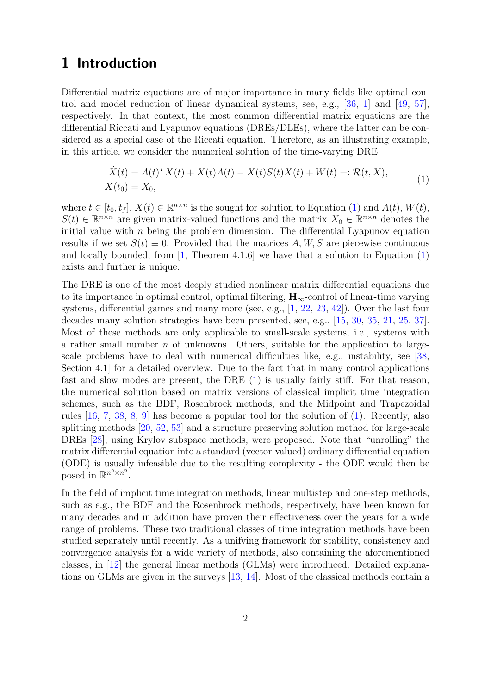# 1 Introduction

Differential matrix equations are of major importance in many fields like optimal control and model reduction of linear dynamical systems, see, e.g., [\[36,](#page-27-0) [1\]](#page-24-0) and [\[49,](#page-28-0) [57\]](#page-28-1), respectively. In that context, the most common differential matrix equations are the differential Riccati and Lyapunov equations (DREs/DLEs), where the latter can be considered as a special case of the Riccati equation. Therefore, as an illustrating example, in this article, we consider the numerical solution of the time-varying DRE

<span id="page-1-0"></span>
$$
\dot{X}(t) = A(t)^T X(t) + X(t)A(t) - X(t)S(t)X(t) + W(t) =: \mathcal{R}(t, X),
$$
  
\n
$$
X(t_0) = X_0,
$$
\n(1)

where  $t \in [t_0, t_f]$ ,  $X(t) \in \mathbb{R}^{n \times n}$  is the sought for solution to Equation [\(1\)](#page-1-0) and  $A(t)$ ,  $W(t)$ ,  $S(t) \in \mathbb{R}^{n \times n}$  are given matrix-valued functions and the matrix  $X_0 \in \mathbb{R}^{n \times n}$  denotes the initial value with  $n$  being the problem dimension. The differential Lyapunov equation results if we set  $S(t) \equiv 0$ . Provided that the matrices A, W, S are piecewise continuous and locally bounded, from  $\left[1, \text{Theorem } 4.1.6\right]$  $\left[1, \text{Theorem } 4.1.6\right]$  $\left[1, \text{Theorem } 4.1.6\right]$  we have that a solution to Equation  $\left(1\right)$ exists and further is unique.

The DRE is one of the most deeply studied nonlinear matrix differential equations due to its importance in optimal control, optimal filtering,  $H_{\infty}$ -control of linear-time varying systems, differential games and many more (see, e.g., [\[1,](#page-24-0) [22,](#page-26-0) [23,](#page-26-1) [42\]](#page-27-1)). Over the last four decades many solution strategies have been presented, see, e.g., [\[15,](#page-25-0) [30,](#page-26-2) [35,](#page-27-2) [21,](#page-26-3) [25,](#page-26-4) [37\]](#page-27-3). Most of these methods are only applicable to small-scale systems, i.e., systems with a rather small number  $n$  of unknowns. Others, suitable for the application to largescale problems have to deal with numerical difficulties like, e.g., instability, see [\[38,](#page-27-4) Section 4.1] for a detailed overview. Due to the fact that in many control applications fast and slow modes are present, the DRE [\(1\)](#page-1-0) is usually fairly stiff. For that reason, the numerical solution based on matrix versions of classical implicit time integration schemes, such as the BDF, Rosenbrock methods, and the Midpoint and Trapezoidal rules [\[16,](#page-25-1) [7,](#page-25-2) [38,](#page-27-4) [8,](#page-25-3) [9\]](#page-25-4) has become a popular tool for the solution of [\(1\)](#page-1-0). Recently, also splitting methods [\[20,](#page-25-5) [52,](#page-28-2) [53\]](#page-28-3) and a structure preserving solution method for large-scale DREs [\[28\]](#page-26-5), using Krylov subspace methods, were proposed. Note that "unrolling" the matrix differential equation into a standard (vector-valued) ordinary differential equation (ODE) is usually infeasible due to the resulting complexity - the ODE would then be posed in  $\mathbb{R}^{n^2 \times n^2}$ .

In the field of implicit time integration methods, linear multistep and one-step methods, such as e.g., the BDF and the Rosenbrock methods, respectively, have been known for many decades and in addition have proven their effectiveness over the years for a wide range of problems. These two traditional classes of time integration methods have been studied separately until recently. As a unifying framework for stability, consistency and convergence analysis for a wide variety of methods, also containing the aforementioned classes, in [\[12\]](#page-25-6) the general linear methods (GLMs) were introduced. Detailed explanations on GLMs are given in the surveys [\[13,](#page-25-7) [14\]](#page-25-8). Most of the classical methods contain a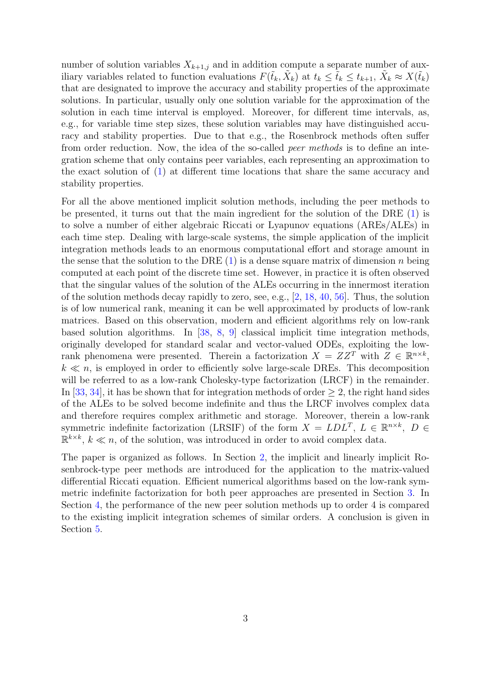number of solution variables  $X_{k+1,j}$  and in addition compute a separate number of auxiliary variables related to function evaluations  $F(\tilde{t}_k, \tilde{X}_k)$  at  $t_k \leq \tilde{t}_k \leq t_{k+1}, \tilde{X}_k \approx X(\tilde{t}_k)$ that are designated to improve the accuracy and stability properties of the approximate solutions. In particular, usually only one solution variable for the approximation of the solution in each time interval is employed. Moreover, for different time intervals, as, e.g., for variable time step sizes, these solution variables may have distinguished accuracy and stability properties. Due to that e.g., the Rosenbrock methods often suffer from order reduction. Now, the idea of the so-called *peer methods* is to define an integration scheme that only contains peer variables, each representing an approximation to the exact solution of [\(1\)](#page-1-0) at different time locations that share the same accuracy and stability properties.

For all the above mentioned implicit solution methods, including the peer methods to be presented, it turns out that the main ingredient for the solution of the DRE [\(1\)](#page-1-0) is to solve a number of either algebraic Riccati or Lyapunov equations (AREs/ALEs) in each time step. Dealing with large-scale systems, the simple application of the implicit integration methods leads to an enormous computational effort and storage amount in the sense that the solution to the DRE  $(1)$  is a dense square matrix of dimension n being computed at each point of the discrete time set. However, in practice it is often observed that the singular values of the solution of the ALEs occurring in the innermost iteration of the solution methods decay rapidly to zero, see, e.g., [\[2,](#page-24-1) [18,](#page-25-9) [40,](#page-27-5) [56\]](#page-28-4). Thus, the solution is of low numerical rank, meaning it can be well approximated by products of low-rank matrices. Based on this observation, modern and efficient algorithms rely on low-rank based solution algorithms. In [\[38,](#page-27-4) [8,](#page-25-3) [9\]](#page-25-4) classical implicit time integration methods, originally developed for standard scalar and vector-valued ODEs, exploiting the lowrank phenomena were presented. Therein a factorization  $X = ZZ^T$  with  $Z \in \mathbb{R}^{n \times k}$ ,  $k \ll n$ , is employed in order to efficiently solve large-scale DREs. This decomposition will be referred to as a low-rank Cholesky-type factorization (LRCF) in the remainder. In [\[33,](#page-26-6) [34\]](#page-26-7), it has be shown that for integration methods of order  $\geq$  2, the right hand sides of the ALEs to be solved become indefinite and thus the LRCF involves complex data and therefore requires complex arithmetic and storage. Moreover, therein a low-rank symmetric indefinite factorization (LRSIF) of the form  $X = LDL^T$ ,  $L \in \mathbb{R}^{n \times k}$ ,  $D \in$  $\mathbb{R}^{k \times k}$ ,  $k \ll n$ , of the solution, was introduced in order to avoid complex data.

The paper is organized as follows. In Section [2,](#page-3-0) the implicit and linearly implicit Rosenbrock-type peer methods are introduced for the application to the matrix-valued differential Riccati equation. Efficient numerical algorithms based on the low-rank symmetric indefinite factorization for both peer approaches are presented in Section [3.](#page-7-0) In Section [4,](#page-17-0) the performance of the new peer solution methods up to order 4 is compared to the existing implicit integration schemes of similar orders. A conclusion is given in Section [5.](#page-23-0)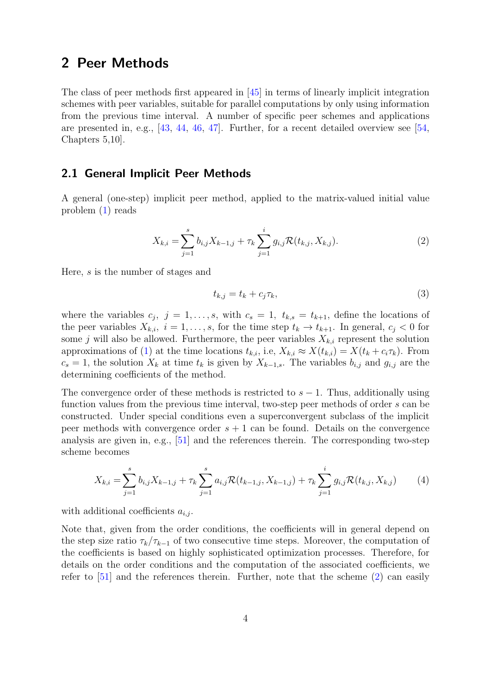## <span id="page-3-0"></span>2 Peer Methods

The class of peer methods first appeared in [\[45\]](#page-27-6) in terms of linearly implicit integration schemes with peer variables, suitable for parallel computations by only using information from the previous time interval. A number of specific peer schemes and applications are presented in, e.g., [\[43,](#page-27-7) [44,](#page-27-8) [46,](#page-27-9) [47\]](#page-27-10). Further, for a recent detailed overview see [\[54,](#page-28-5) Chapters 5,10].

## 2.1 General Implicit Peer Methods

A general (one-step) implicit peer method, applied to the matrix-valued initial value problem [\(1\)](#page-1-0) reads

$$
X_{k,i} = \sum_{j=1}^{s} b_{i,j} X_{k-1,j} + \tau_k \sum_{j=1}^{i} g_{i,j} \mathcal{R}(t_{k,j}, X_{k,j}).
$$
\n(2)

Here, s is the number of stages and

<span id="page-3-3"></span><span id="page-3-2"></span><span id="page-3-1"></span>
$$
t_{k,j} = t_k + c_j \tau_k,\tag{3}
$$

where the variables  $c_j$ ,  $j = 1, \ldots, s$ , with  $c_s = 1$ ,  $t_{k,s} = t_{k+1}$ , define the locations of the peer variables  $X_{k,i}$ ,  $i = 1, \ldots, s$ , for the time step  $t_k \to t_{k+1}$ . In general,  $c_j < 0$  for some j will also be allowed. Furthermore, the peer variables  $X_{k,i}$  represent the solution approximations of [\(1\)](#page-1-0) at the time locations  $t_{k,i}$ , i.e,  $X_{k,i} \approx X(t_{k,i}) = X(t_k + c_i \tau_k)$ . From  $c_s = 1$ , the solution  $X_k$  at time  $t_k$  is given by  $X_{k-1,s}$ . The variables  $b_{i,j}$  and  $g_{i,j}$  are the determining coefficients of the method.

The convergence order of these methods is restricted to  $s - 1$ . Thus, additionally using function values from the previous time interval, two-step peer methods of order s can be constructed. Under special conditions even a superconvergent subclass of the implicit peer methods with convergence order  $s + 1$  can be found. Details on the convergence analysis are given in, e.g., [\[51\]](#page-28-6) and the references therein. The corresponding two-step scheme becomes

$$
X_{k,i} = \sum_{j=1}^{s} b_{i,j} X_{k-1,j} + \tau_k \sum_{j=1}^{s} a_{i,j} \mathcal{R}(t_{k-1,j}, X_{k-1,j}) + \tau_k \sum_{j=1}^{i} g_{i,j} \mathcal{R}(t_{k,j}, X_{k,j})
$$
(4)

with additional coefficients  $a_{i,j}$ .

Note that, given from the order conditions, the coefficients will in general depend on the step size ratio  $\tau_k/\tau_{k-1}$  of two consecutive time steps. Moreover, the computation of the coefficients is based on highly sophisticated optimization processes. Therefore, for details on the order conditions and the computation of the associated coefficients, we refer to [\[51\]](#page-28-6) and the references therein. Further, note that the scheme [\(2\)](#page-3-1) can easily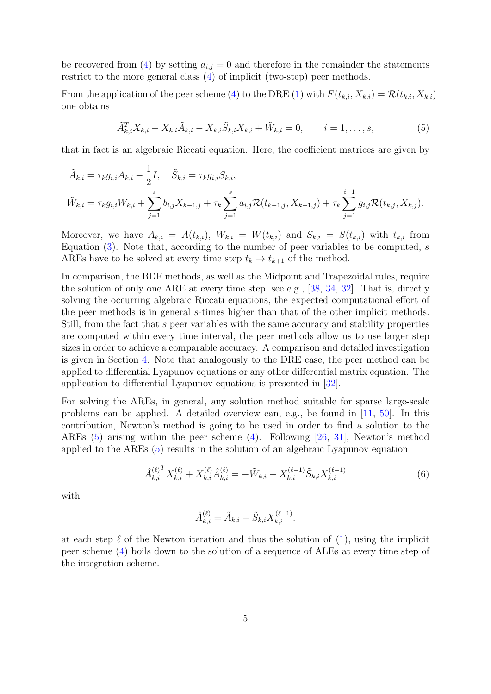be recovered from [\(4\)](#page-3-2) by setting  $a_{i,j} = 0$  and therefore in the remainder the statements restrict to the more general class [\(4\)](#page-3-2) of implicit (two-step) peer methods.

From the application of the peer scheme [\(4\)](#page-3-2) to the DRE [\(1\)](#page-1-0) with  $F(t_{k,i}, X_{k,i}) = \mathcal{R}(t_{k,i}, X_{k,i})$ one obtains

<span id="page-4-0"></span>
$$
\tilde{A}_{k,i}^T X_{k,i} + X_{k,i} \tilde{A}_{k,i} - X_{k,i} \tilde{S}_{k,i} X_{k,i} + \tilde{W}_{k,i} = 0, \qquad i = 1, ..., s,
$$
\n(5)

that in fact is an algebraic Riccati equation. Here, the coefficient matrices are given by

$$
\tilde{A}_{k,i} = \tau_k g_{i,i} A_{k,i} - \frac{1}{2} I, \quad \tilde{S}_{k,i} = \tau_k g_{i,i} S_{k,i},
$$
\n
$$
\tilde{W}_{k,i} = \tau_k g_{i,i} W_{k,i} + \sum_{j=1}^s b_{i,j} X_{k-1,j} + \tau_k \sum_{j=1}^s a_{i,j} \mathcal{R}(t_{k-1,j}, X_{k-1,j}) + \tau_k \sum_{j=1}^{i-1} g_{i,j} \mathcal{R}(t_{k,j}, X_{k,j}).
$$

Moreover, we have  $A_{k,i} = A(t_{k,i}), W_{k,i} = W(t_{k,i})$  and  $S_{k,i} = S(t_{k,i})$  with  $t_{k,i}$  from Equation  $(3)$ . Note that, according to the number of peer variables to be computed, s AREs have to be solved at every time step  $t_k \to t_{k+1}$  of the method.

In comparison, the BDF methods, as well as the Midpoint and Trapezoidal rules, require the solution of only one ARE at every time step, see e.g., [\[38,](#page-27-4) [34,](#page-26-7) [32\]](#page-26-8). That is, directly solving the occurring algebraic Riccati equations, the expected computational effort of the peer methods is in general s-times higher than that of the other implicit methods. Still, from the fact that s peer variables with the same accuracy and stability properties are computed within every time interval, the peer methods allow us to use larger step sizes in order to achieve a comparable accuracy. A comparison and detailed investigation is given in Section [4.](#page-17-0) Note that analogously to the DRE case, the peer method can be applied to differential Lyapunov equations or any other differential matrix equation. The application to differential Lyapunov equations is presented in [\[32\]](#page-26-8).

For solving the AREs, in general, any solution method suitable for sparse large-scale problems can be applied. A detailed overview can, e.g., be found in [\[11,](#page-25-10) [50\]](#page-28-7). In this contribution, Newton's method is going to be used in order to find a solution to the AREs [\(5\)](#page-4-0) arising within the peer scheme [\(4\)](#page-3-2). Following [\[26,](#page-26-9) [31\]](#page-26-10), Newton's method applied to the AREs [\(5\)](#page-4-0) results in the solution of an algebraic Lyapunov equation

$$
\hat{A}_{k,i}^{(\ell)}^{T} X_{k,i}^{(\ell)} + X_{k,i}^{(\ell)} \hat{A}_{k,i}^{(\ell)} = -\tilde{W}_{k,i} - X_{k,i}^{(\ell-1)} \tilde{S}_{k,i} X_{k,i}^{(\ell-1)} \tag{6}
$$

with

<span id="page-4-1"></span>
$$
\hat{A}_{k,i}^{(\ell)} = \tilde{A}_{k,i} - \tilde{S}_{k,i} X_{k,i}^{(\ell-1)}.
$$

at each step  $\ell$  of the Newton iteration and thus the solution of  $(1)$ , using the implicit peer scheme [\(4\)](#page-3-2) boils down to the solution of a sequence of ALEs at every time step of the integration scheme.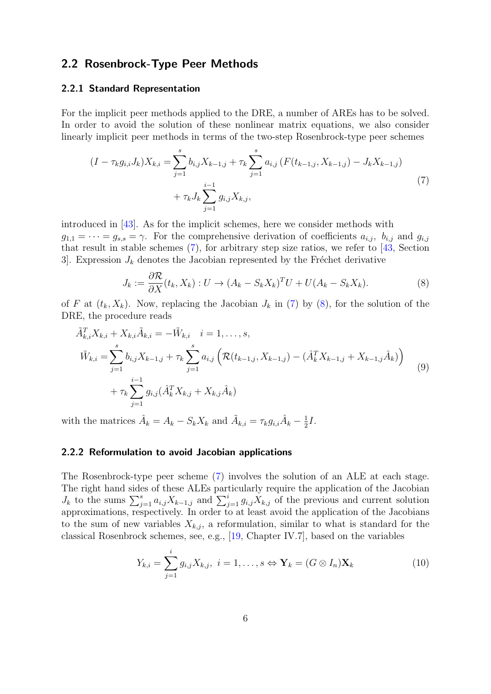## <span id="page-5-4"></span>2.2 Rosenbrock-Type Peer Methods

#### 2.2.1 Standard Representation

For the implicit peer methods applied to the DRE, a number of AREs has to be solved. In order to avoid the solution of these nonlinear matrix equations, we also consider linearly implicit peer methods in terms of the two-step Rosenbrock-type peer schemes

$$
(I - \tau_k g_{i,i} J_k) X_{k,i} = \sum_{j=1}^s b_{i,j} X_{k-1,j} + \tau_k \sum_{j=1}^s a_{i,j} (F(t_{k-1,j}, X_{k-1,j}) - J_k X_{k-1,j})
$$
  
+  $\tau_k J_k \sum_{j=1}^{i-1} g_{i,j} X_{k,j},$  (7)

introduced in [\[43\]](#page-27-7). As for the implicit schemes, here we consider methods with  $g_{1,1} = \cdots = g_{s,s} = \gamma$ . For the comprehensive derivation of coefficients  $a_{i,j}$ ,  $b_{i,j}$  and  $g_{i,j}$ that result in stable schemes [\(7\)](#page-5-0), for arbitrary step size ratios, we refer to [\[43,](#page-27-7) Section 3. Expression  $J_k$  denotes the Jacobian represented by the Fréchet derivative

<span id="page-5-3"></span><span id="page-5-1"></span><span id="page-5-0"></span>
$$
J_k := \frac{\partial \mathcal{R}}{\partial X}(t_k, X_k) : U \to (A_k - S_k X_k)^T U + U(A_k - S_k X_k). \tag{8}
$$

of F at  $(t_k, X_k)$ . Now, replacing the Jacobian  $J_k$  in [\(7\)](#page-5-0) by [\(8\)](#page-5-1), for the solution of the DRE, the procedure reads

$$
\tilde{A}_{k,i}^T X_{k,i} + X_{k,i} \tilde{A}_{k,i} = -\tilde{W}_{k,i} \quad i = 1, ..., s,
$$
\n
$$
\tilde{W}_{k,i} = \sum_{j=1}^s b_{i,j} X_{k-1,j} + \tau_k \sum_{j=1}^s a_{i,j} \left( \mathcal{R}(t_{k-1,j}, X_{k-1,j}) - (\hat{A}_k^T X_{k-1,j} + X_{k-1,j} \hat{A}_k) \right)
$$
\n
$$
+ \tau_k \sum_{j=1}^{i-1} g_{i,j} (\hat{A}_k^T X_{k,j} + X_{k,j} \hat{A}_k)
$$
\n(9)

with the matrices  $\hat{A}_k = A_k - S_k X_k$  and  $\tilde{A}_{k,i} = \tau_k g_{i,i} \hat{A}_k - \frac{1}{2}$  $rac{1}{2}I$ .

#### 2.2.2 Reformulation to avoid Jacobian applications

The Rosenbrock-type peer scheme [\(7\)](#page-5-0) involves the solution of an ALE at each stage. The right hand sides of these ALEs particularly require the application of the Jacobian  $J_k$  to the sums  $\sum_{j=1}^s a_{i,j} X_{k-1,j}$  and  $\sum_{j=1}^i g_{i,j} X_{k,j}$  of the previous and current solution approximations, respectively. In order to at least avoid the application of the Jacobians to the sum of new variables  $X_{k,j}$ , a reformulation, similar to what is standard for the classical Rosenbrock schemes, see, e.g., [\[19,](#page-25-11) Chapter IV.7], based on the variables

<span id="page-5-2"></span>
$$
Y_{k,i} = \sum_{j=1}^{i} g_{i,j} X_{k,j}, \ i = 1, \dots, s \Leftrightarrow \mathbf{Y}_k = (G \otimes I_n) \mathbf{X}_k
$$
 (10)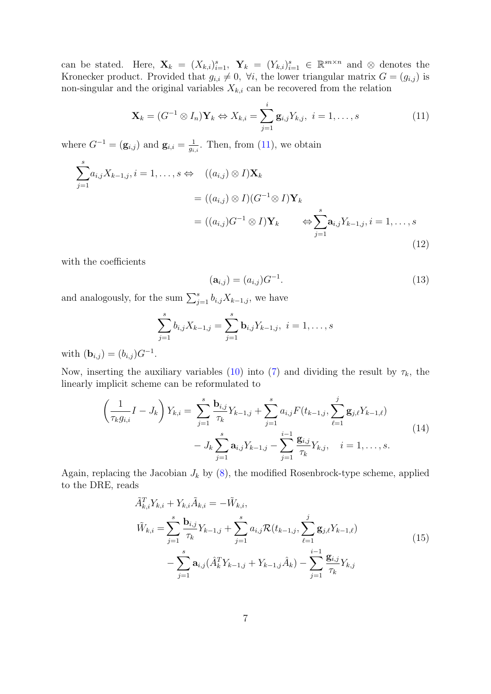can be stated. Here,  $\mathbf{X}_k = (X_{k,i})_{i=1}^s$ ,  $\mathbf{Y}_k = (Y_{k,i})_{i=1}^s \in \mathbb{R}^{sn \times n}$  and  $\otimes$  denotes the Kronecker product. Provided that  $g_{i,i} \neq 0$ ,  $\forall i$ , the lower triangular matrix  $G = (g_{i,j})$  is non-singular and the original variables  $X_{k,i}$  can be recovered from the relation

$$
\mathbf{X}_k = (G^{-1} \otimes I_n) \mathbf{Y}_k \Leftrightarrow X_{k,i} = \sum_{j=1}^i \mathbf{g}_{i,j} Y_{k,j}, \ i = 1, \dots, s
$$
 (11)

where  $G^{-1} = (\mathbf{g}_{i,j})$  and  $\mathbf{g}_{i,i} = \frac{1}{a_i}$  $\frac{1}{g_{i,i}}$ . Then, from [\(11\)](#page-6-0), we obtain

$$
\sum_{j=1}^{s} a_{i,j} X_{k-1,j}, i = 1, \dots, s \Leftrightarrow ((a_{i,j}) \otimes I) \mathbf{X}_k
$$
  

$$
= ((a_{i,j}) \otimes I)(G^{-1} \otimes I) \mathbf{Y}_k
$$
  

$$
= ((a_{i,j})G^{-1} \otimes I) \mathbf{Y}_k \qquad \Leftrightarrow \sum_{j=1}^{s} \mathbf{a}_{i,j} Y_{k-1,j}, i = 1, \dots, s
$$
  
(12)

with the coefficients

<span id="page-6-4"></span><span id="page-6-3"></span><span id="page-6-2"></span><span id="page-6-0"></span>
$$
(\mathbf{a}_{i,j}) = (a_{i,j})G^{-1}.
$$
\n(13)

and analogously, for the sum  $\sum_{j=1}^{s} b_{i,j} X_{k-1,j}$ , we have

$$
\sum_{j=1}^{s} b_{i,j} X_{k-1,j} = \sum_{j=1}^{s} \mathbf{b}_{i,j} Y_{k-1,j}, \ i = 1, \dots, s
$$

with  $(\mathbf{b}_{i,j}) = (b_{i,j})G^{-1}$ .

Now, inserting the auxiliary variables [\(10\)](#page-5-2) into [\(7\)](#page-5-0) and dividing the result by  $\tau_k$ , the linearly implicit scheme can be reformulated to

$$
\left(\frac{1}{\tau_k g_{i,i}} I - J_k\right) Y_{k,i} = \sum_{j=1}^s \frac{\mathbf{b}_{i,j}}{\tau_k} Y_{k-1,j} + \sum_{j=1}^s a_{i,j} F(t_{k-1,j}, \sum_{\ell=1}^j \mathbf{g}_{j,\ell} Y_{k-1,\ell}) - J_k \sum_{j=1}^s \mathbf{a}_{i,j} Y_{k-1,j} - \sum_{j=1}^{i-1} \frac{\mathbf{g}_{i,j}}{\tau_k} Y_{k,j}, \quad i = 1, ..., s.
$$
\n(14)

Again, replacing the Jacobian  $J_k$  by  $(8)$ , the modified Rosenbrock-type scheme, applied to the DRE, reads

<span id="page-6-1"></span>
$$
\tilde{A}_{k,i}^T Y_{k,i} + Y_{k,i} \tilde{A}_{k,i} = -\tilde{W}_{k,i},
$$
\n
$$
\tilde{W}_{k,i} = \sum_{j=1}^s \frac{\mathbf{b}_{i,j}}{\tau_k} Y_{k-1,j} + \sum_{j=1}^s a_{i,j} \mathcal{R}(t_{k-1,j}, \sum_{\ell=1}^j \mathbf{g}_{j,\ell} Y_{k-1,\ell})
$$
\n
$$
- \sum_{j=1}^s \mathbf{a}_{i,j} (\hat{A}_k^T Y_{k-1,j} + Y_{k-1,j} \hat{A}_k) - \sum_{j=1}^{i-1} \frac{\mathbf{g}_{i,j}}{\tau_k} Y_{k,j}
$$
\n(15)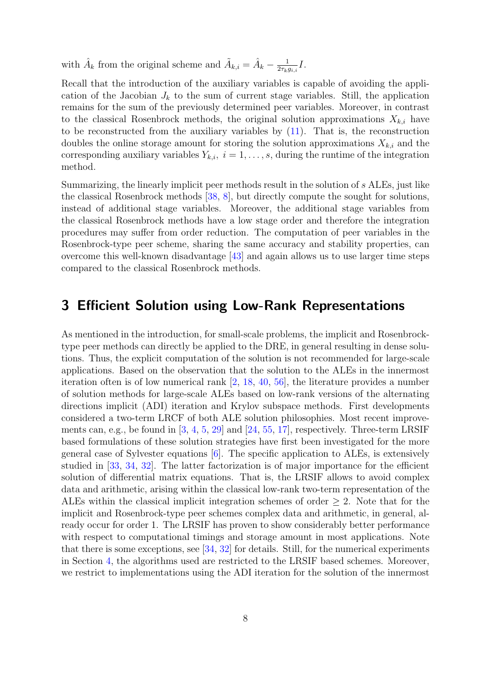with  $\hat{A}_k$  from the original scheme and  $\tilde{A}_{k,i} = \hat{A}_k - \frac{1}{2\tau_{k,i}}$  $\frac{1}{2\tau_k g_{i,i}}I.$ 

Recall that the introduction of the auxiliary variables is capable of avoiding the application of the Jacobian  $J_k$  to the sum of current stage variables. Still, the application remains for the sum of the previously determined peer variables. Moreover, in contrast to the classical Rosenbrock methods, the original solution approximations  $X_{k,i}$  have to be reconstructed from the auxiliary variables by  $(11)$ . That is, the reconstruction doubles the online storage amount for storing the solution approximations  $X_{k,i}$  and the corresponding auxiliary variables  $Y_{k,i}$ ,  $i = 1, \ldots, s$ , during the runtime of the integration method.

Summarizing, the linearly implicit peer methods result in the solution of s ALEs, just like the classical Rosenbrock methods [\[38,](#page-27-4) [8\]](#page-25-3), but directly compute the sought for solutions, instead of additional stage variables. Moreover, the additional stage variables from the classical Rosenbrock methods have a low stage order and therefore the integration procedures may suffer from order reduction. The computation of peer variables in the Rosenbrock-type peer scheme, sharing the same accuracy and stability properties, can overcome this well-known disadvantage [\[43\]](#page-27-7) and again allows us to use larger time steps compared to the classical Rosenbrock methods.

## <span id="page-7-0"></span>3 Efficient Solution using Low-Rank Representations

As mentioned in the introduction, for small-scale problems, the implicit and Rosenbrocktype peer methods can directly be applied to the DRE, in general resulting in dense solutions. Thus, the explicit computation of the solution is not recommended for large-scale applications. Based on the observation that the solution to the ALEs in the innermost iteration often is of low numerical rank [\[2,](#page-24-1) [18,](#page-25-9) [40,](#page-27-5) [56\]](#page-28-4), the literature provides a number of solution methods for large-scale ALEs based on low-rank versions of the alternating directions implicit (ADI) iteration and Krylov subspace methods. First developments considered a two-term LRCF of both ALE solution philosophies. Most recent improvements can, e.g., be found in [\[3,](#page-24-2) [4,](#page-24-3) [5,](#page-24-4) [29\]](#page-26-11) and [\[24,](#page-26-12) [55,](#page-28-8) [17\]](#page-25-12), respectively. Three-term LRSIF based formulations of these solution strategies have first been investigated for the more general case of Sylvester equations [\[6\]](#page-24-5). The specific application to ALEs, is extensively studied in [\[33,](#page-26-6) [34,](#page-26-7) [32\]](#page-26-8). The latter factorization is of major importance for the efficient solution of differential matrix equations. That is, the LRSIF allows to avoid complex data and arithmetic, arising within the classical low-rank two-term representation of the ALEs within the classical implicit integration schemes of order  $\geq$  2. Note that for the implicit and Rosenbrock-type peer schemes complex data and arithmetic, in general, already occur for order 1. The LRSIF has proven to show considerably better performance with respect to computational timings and storage amount in most applications. Note that there is some exceptions, see [\[34,](#page-26-7) [32\]](#page-26-8) for details. Still, for the numerical experiments in Section [4,](#page-17-0) the algorithms used are restricted to the LRSIF based schemes. Moreover, we restrict to implementations using the ADI iteration for the solution of the innermost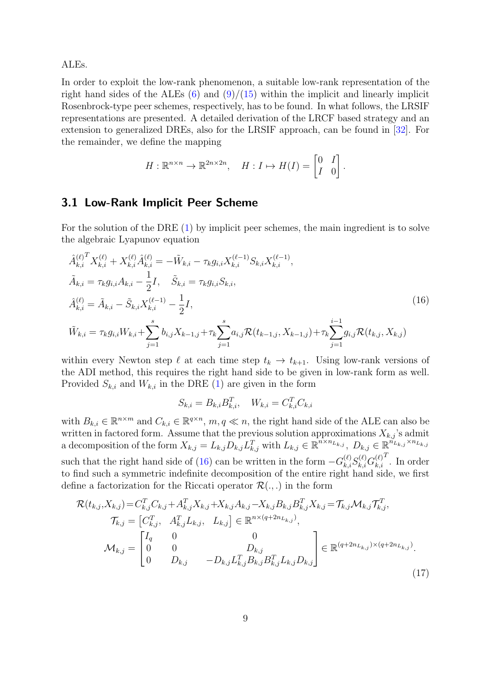ALEs.

In order to exploit the low-rank phenomenon, a suitable low-rank representation of the right hand sides of the ALEs  $(6)$  and  $(9)/(15)$  $(9)/(15)$  $(9)/(15)$  within the implicit and linearly implicit Rosenbrock-type peer schemes, respectively, has to be found. In what follows, the LRSIF representations are presented. A detailed derivation of the LRCF based strategy and an extension to generalized DREs, also for the LRSIF approach, can be found in [\[32\]](#page-26-8). For the remainder, we define the mapping

$$
H: \mathbb{R}^{n \times n} \to \mathbb{R}^{2n \times 2n}, \quad H: I \mapsto H(I) = \begin{bmatrix} 0 & I \\ I & 0 \end{bmatrix}.
$$

## 3.1 Low-Rank Implicit Peer Scheme

For the solution of the DRE [\(1\)](#page-1-0) by implicit peer schemes, the main ingredient is to solve the algebraic Lyapunov equation

$$
\hat{A}_{k,i}^{(\ell)}^{T} X_{k,i}^{(\ell)} + X_{k,i}^{(\ell)} \hat{A}_{k,i}^{(\ell)} = -\tilde{W}_{k,i} - \tau_{k} g_{i,i} X_{k,i}^{(\ell-1)} S_{k,i} X_{k,i}^{(\ell-1)},
$$
\n
$$
\tilde{A}_{k,i} = \tau_{k} g_{i,i} A_{k,i} - \frac{1}{2} I, \quad \tilde{S}_{k,i} = \tau_{k} g_{i,i} S_{k,i},
$$
\n
$$
\hat{A}_{k,i}^{(\ell)} = \tilde{A}_{k,i} - \tilde{S}_{k,i} X_{k,i}^{(\ell-1)} - \frac{1}{2} I,
$$
\n
$$
\tilde{W}_{k,i} = \tau_{k} g_{i,i} W_{k,i} + \sum_{j=1}^{s} b_{i,j} X_{k-1,j} + \tau_{k} \sum_{j=1}^{s} a_{i,j} \mathcal{R}(t_{k-1,j}, X_{k-1,j}) + \tau_{k} \sum_{j=1}^{i-1} g_{i,j} \mathcal{R}(t_{k,j}, X_{k,j})
$$
\n(16)

within every Newton step  $\ell$  at each time step  $t_k \to t_{k+1}$ . Using low-rank versions of the ADI method, this requires the right hand side to be given in low-rank form as well. Provided  $S_{k,i}$  and  $W_{k,i}$  in the DRE [\(1\)](#page-1-0) are given in the form

<span id="page-8-1"></span><span id="page-8-0"></span>
$$
S_{k,i} = B_{k,i} B_{k,i}^T, \quad W_{k,i} = C_{k,i}^T C_{k,i}
$$

with  $B_{k,i} \in \mathbb{R}^{n \times m}$  and  $C_{k,i} \in \mathbb{R}^{q \times n}$ ,  $m, q \ll n$ , the right hand side of the ALE can also be written in factored form. Assume that the previous solution approximations  $X_{k,j}$ 's admit a decomposition of the form  $X_{k,j} = L_{k,j} D_{k,j} L_{k,j}^T$  with  $L_{k,j} \in \mathbb{R}^{n \times n_{L_{k,j}}}, D_{k,j} \in \mathbb{R}^{n_{L_{k,j}} \times n_{L_{k,j}}}$ such that the right hand side of [\(16\)](#page-8-0) can be written in the form  $-G_{k,i}^{(\ell)}S_{k,i}^{(\ell)}G_{k,i}^{(\ell)}$  $_{k,i}$  $T$ . In order to find such a symmetric indefinite decomposition of the entire right hand side, we first define a factorization for the Riccati operator  $\mathcal{R}(\cdot, \cdot)$  in the form

$$
\mathcal{R}(t_{k,j}, X_{k,j}) = C_{k,j}^T C_{k,j} + A_{k,j}^T X_{k,j} + X_{k,j} A_{k,j} - X_{k,j} B_{k,j} B_{k,j}^T X_{k,j} = \mathcal{T}_{k,j} \mathcal{M}_{k,j} \mathcal{T}_{k,j}^T,
$$
\n
$$
\mathcal{T}_{k,j} = \begin{bmatrix} C_{k,j}^T, & A_{k,j}^T L_{k,j}, & L_{k,j} \end{bmatrix} \in \mathbb{R}^{n \times (q+2n_{L_{k,j}})},
$$
\n
$$
\mathcal{M}_{k,j} = \begin{bmatrix} I_q & 0 & 0 \\ 0 & 0 & D_{k,j} \\ 0 & D_{k,j} & -D_{k,j} L_{k,j}^T B_{k,j} B_{k,j}^T L_{k,j} D_{k,j} \end{bmatrix} \in \mathbb{R}^{(q+2n_{L_{k,j}}) \times (q+2n_{L_{k,j}})}.
$$
\n
$$
(17)
$$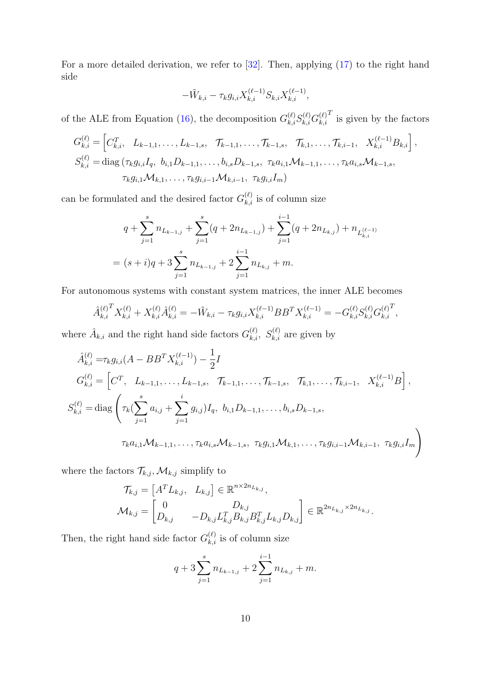For a more detailed derivation, we refer to [\[32\]](#page-26-8). Then, applying [\(17\)](#page-8-1) to the right hand side

$$
-\tilde{W}_{k,i}-\tau_k g_{i,i} X_{k,i}^{(\ell-1)} S_{k,i} X_{k,i}^{(\ell-1)},
$$

of the ALE from Equation [\(16\)](#page-8-0), the decomposition  $G_{k,i}^{(\ell)}S_{k,i}^{(\ell)}G_{k,i}^{(\ell)}$  $_{k,i}$  $T$  is given by the factors

$$
G_{k,i}^{(\ell)} = \left[ C_{k,i}^T, L_{k-1,1}, \ldots, L_{k-1,s}, \quad \mathcal{T}_{k-1,1}, \ldots, \mathcal{T}_{k-1,s}, \quad \mathcal{T}_{k,1}, \ldots, \mathcal{T}_{k,i-1}, \quad X_{k,i}^{(\ell-1)} B_{k,i} \right],
$$
  
\n
$$
S_{k,i}^{(\ell)} = \text{diag} \left( \tau_k g_{i,i} I_q, b_{i,1} D_{k-1,1}, \ldots, b_{i,s} D_{k-1,s}, \quad \tau_k a_{i,1} \mathcal{M}_{k-1,1}, \ldots, \tau_k a_{i,s} \mathcal{M}_{k-1,s},
$$
  
\n
$$
\tau_k g_{i,1} \mathcal{M}_{k,1}, \ldots, \tau_k g_{i,i-1} \mathcal{M}_{k,i-1}, \quad \tau_k g_{i,i} I_m \right)
$$

can be formulated and the desired factor  $G_{k,i}^{(\ell)}$  is of column size

$$
q + \sum_{j=1}^{s} n_{L_{k-1,j}} + \sum_{j=1}^{s} (q + 2n_{L_{k-1,j}}) + \sum_{j=1}^{i-1} (q + 2n_{L_{k,j}}) + n_{L_{k,i}^{(\ell-1)}}
$$
  
=  $(s + i)q + 3 \sum_{j=1}^{s} n_{L_{k-1,j}} + 2 \sum_{j=1}^{i-1} n_{L_{k,j}} + m.$ 

For autonomous systems with constant system matrices, the inner ALE becomes

$$
\hat{A}_{k,i}^{(\ell)}^{T} X_{k,i}^{(\ell)} + X_{k,i}^{(\ell)} \hat{A}_{k,i}^{(\ell)} = -\tilde{W}_{k,i} - \tau_{k} g_{i,i} X_{k,i}^{(\ell-1)} B B^{T} X_{k,i}^{(\ell-1)} = -G_{k,i}^{(\ell)} S_{k,i}^{(\ell)} G_{k,i}^{(\ell)}^{T},
$$

where  $\hat{A}_{k,i}$  and the right hand side factors  $G_{k,i}^{(\ell)}$ ,  $S_{k,i}^{(\ell)}$  are given by

$$
\hat{A}_{k,i}^{(\ell)} = \tau_k g_{i,i}(A - BB^T X_{k,i}^{(\ell-1)}) - \frac{1}{2}I
$$
\n
$$
G_{k,i}^{(\ell)} = \left[C^T, L_{k-1,1}, \dots, L_{k-1,s}, \mathcal{T}_{k-1,1}, \dots, \mathcal{T}_{k-1,s}, \mathcal{T}_{k,1}, \dots, \mathcal{T}_{k,i-1}, X_{k,i}^{(\ell-1)} B\right],
$$
\n
$$
S_{k,i}^{(\ell)} = \text{diag}\left(\tau_k (\sum_{j=1}^s a_{i,j} + \sum_{j=1}^i g_{i,j}) I_q, b_{i,1} D_{k-1,1}, \dots, b_{i,s} D_{k-1,s},
$$
\n
$$
\tau_k a_{i,1} \mathcal{M}_{k-1,1}, \dots, \tau_k a_{i,s} \mathcal{M}_{k-1,s}, \tau_k g_{i,1} \mathcal{M}_{k,1}, \dots, \tau_k g_{i,i-1} \mathcal{M}_{k,i-1}, \tau_k g_{i,i} I_m\right)
$$

where the factors  $\mathcal{T}_{k,j}, \mathcal{M}_{k,j}$  simplify to

$$
\mathcal{T}_{k,j} = \begin{bmatrix} A^T L_{k,j}, & L_{k,j} \end{bmatrix} \in \mathbb{R}^{n \times 2n_{L_{k,j}}},
$$
  

$$
\mathcal{M}_{k,j} = \begin{bmatrix} 0 & D_{k,j} \\ D_{k,j} & -D_{k,j} L_{k,j}^T B_{k,j} B_{k,j}^T L_{k,j} D_{k,j} \end{bmatrix} \in \mathbb{R}^{2n_{L_{k,j}} \times 2n_{L_{k,j}}}.
$$

Then, the right hand side factor  $G_{k,i}^{(\ell)}$  is of column size

$$
q + 3\sum_{j=1}^{s} n_{L_{k-1,j}} + 2\sum_{j=1}^{i-1} n_{L_{k,j}} + m.
$$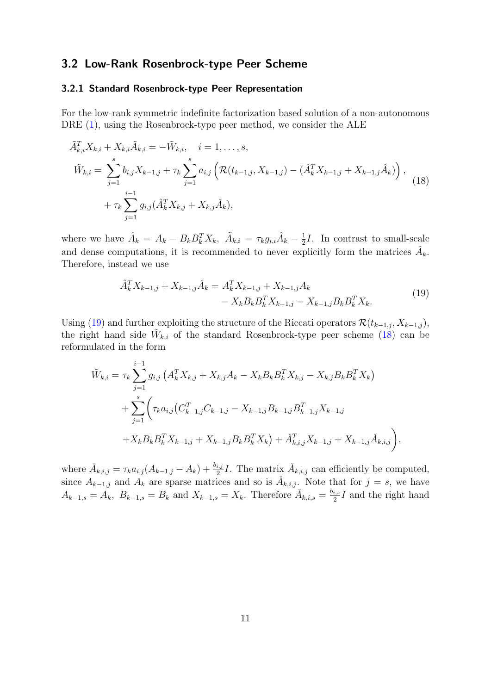#### 3.2 Low-Rank Rosenbrock-type Peer Scheme

#### 3.2.1 Standard Rosenbrock-type Peer Representation

For the low-rank symmetric indefinite factorization based solution of a non-autonomous DRE [\(1\)](#page-1-0), using the Rosenbrock-type peer method, we consider the ALE

$$
\tilde{A}_{k,i}^T X_{k,i} + X_{k,i} \tilde{A}_{k,i} = -\tilde{W}_{k,i}, \quad i = 1, ..., s,
$$
\n
$$
\tilde{W}_{k,i} = \sum_{j=1}^s b_{i,j} X_{k-1,j} + \tau_k \sum_{j=1}^s a_{i,j} \left( \mathcal{R}(t_{k-1,j}, X_{k-1,j}) - (\hat{A}_k^T X_{k-1,j} + X_{k-1,j} \hat{A}_k) \right),
$$
\n
$$
+ \tau_k \sum_{j=1}^{i-1} g_{i,j} (\hat{A}_k^T X_{k,j} + X_{k,j} \hat{A}_k),
$$
\n(18)

where we have  $\hat{A}_k = A_k - B_k B_k^T X_k$ ,  $\tilde{A}_{k,i} = \tau_k g_{i,i} \hat{A}_k - \frac{1}{2}$  $\frac{1}{2}I$ . In contrast to small-scale and dense computations, it is recommended to never explicitly form the matrices  $\hat{A}_k$ . Therefore, instead we use

<span id="page-10-1"></span><span id="page-10-0"></span>
$$
\hat{A}_k^T X_{k-1,j} + X_{k-1,j} \hat{A}_k = A_k^T X_{k-1,j} + X_{k-1,j} A_k \n- X_k B_k B_k^T X_{k-1,j} - X_{k-1,j} B_k B_k^T X_k.
$$
\n(19)

Using [\(19\)](#page-10-0) and further exploiting the structure of the Riccati operators  $\mathcal{R}(t_{k-1,j}, X_{k-1,j})$ , the right hand side  $\tilde{W}_{k,i}$  of the standard Rosenbrock-type peer scheme [\(18\)](#page-10-1) can be reformulated in the form

$$
\tilde{W}_{k,i} = \tau_k \sum_{j=1}^{i-1} g_{i,j} \left( A_k^T X_{k,j} + X_{k,j} A_k - X_k B_k B_k^T X_{k,j} - X_{k,j} B_k B_k^T X_k \right) \n+ \sum_{j=1}^s \left( \tau_k a_{i,j} \left( C_{k-1,j}^T C_{k-1,j} - X_{k-1,j} B_{k-1,j} B_{k-1,j}^T X_{k-1,j} \right. \right. \n+ X_k B_k B_k^T X_{k-1,j} + X_{k-1,j} B_k B_k^T X_k \right) + \tilde{A}_{k,i,j}^T X_{k-1,j} + X_{k-1,j} \tilde{A}_{k,i,j} \right),
$$

where  $\check{A}_{k,i,j} = \tau_k a_{i,j} (A_{k-1,j} - A_k) + \frac{b_{i,j}}{2} I$ . The matrix  $\check{A}_{k,i,j}$  can efficiently be computed, since  $A_{k-1,j}$  and  $A_k$  are sparse matrices and so is  $\check{A}_{k,i,j}$ . Note that for  $j = s$ , we have  $A_{k-1,s} = A_k$ ,  $B_{k-1,s} = B_k$  and  $X_{k-1,s} = X_k$ . Therefore  $A_{k,i,s} = \frac{b_{i,s}}{2}$  $\frac{i,s}{2}I$  and the right hand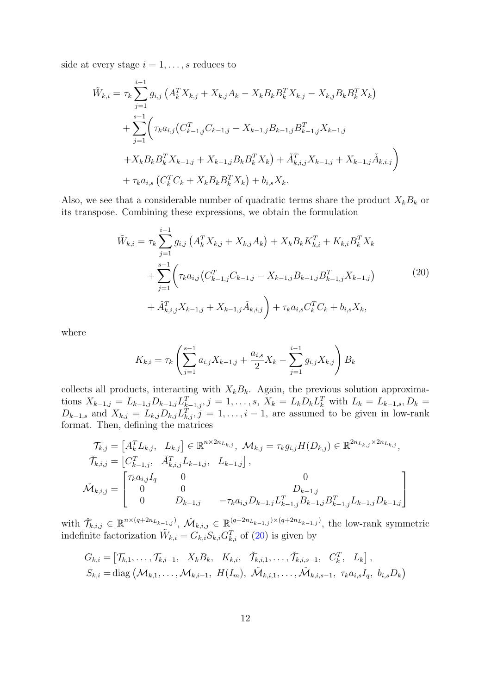side at every stage  $i = 1, \ldots, s$  reduces to

$$
\tilde{W}_{k,i} = \tau_k \sum_{j=1}^{i-1} g_{i,j} \left( A_k^T X_{k,j} + X_{k,j} A_k - X_k B_k B_k^T X_{k,j} - X_{k,j} B_k B_k^T X_k \right) \n+ \sum_{j=1}^{s-1} \left( \tau_k a_{i,j} \left( C_{k-1,j}^T C_{k-1,j} - X_{k-1,j} B_{k-1,j} B_{k-1,j}^T X_{k-1,j} \right. \n+ X_k B_k B_k^T X_{k-1,j} + X_{k-1,j} B_k B_k^T X_k \right) + \tilde{A}_{k,i,j}^T X_{k-1,j} + X_{k-1,j} \tilde{A}_{k,i,j} \right) \n+ \tau_k a_{i,s} \left( C_k^T C_k + X_k B_k B_k^T X_k \right) + b_{i,s} X_k.
$$

Also, we see that a considerable number of quadratic terms share the product  $X_kB_k$  or its transpose. Combining these expressions, we obtain the formulation

$$
\tilde{W}_{k,i} = \tau_k \sum_{j=1}^{i-1} g_{i,j} \left( A_k^T X_{k,j} + X_{k,j} A_k \right) + X_k B_k K_{k,i}^T + K_{k,i} B_k^T X_k \n+ \sum_{j=1}^{s-1} \left( \tau_k a_{i,j} \left( C_{k-1,j}^T C_{k-1,j} - X_{k-1,j} B_{k-1,j} B_{k-1,j}^T X_{k-1,j} \right) \right) \n+ \tilde{A}_{k,i,j}^T X_{k-1,j} + X_{k-1,j} \tilde{A}_{k,i,j} + \tau_k a_{i,s} C_k^T C_k + b_{i,s} X_k,
$$
\n(20)

where

<span id="page-11-0"></span>
$$
K_{k,i} = \tau_k \left( \sum_{j=1}^{s-1} a_{i,j} X_{k-1,j} + \frac{a_{i,s}}{2} X_k - \sum_{j=1}^{i-1} g_{i,j} X_{k,j} \right) B_k
$$

collects all products, interacting with  $X_kB_k$ . Again, the previous solution approximations  $X_{k-1,j} = L_{k-1,j}D_{k-1,j}L_{k-1,j}^T$ ,  $j = 1, ..., s$ ,  $X_k = L_kD_kL_k^T$  with  $L_k = L_{k-1,s}$ ,  $D_k =$  $D_{k-1,s}$  and  $X_{k,j} = L_{k,j} D_{k,j} L_{k,j}^T$ ,  $j = 1, \ldots, i-1$ , are assumed to be given in low-rank format. Then, defining the matrices

$$
\mathcal{T}_{k,j} = \begin{bmatrix} A_k^T L_{k,j}, & L_{k,j} \end{bmatrix} \in \mathbb{R}^{n \times 2n_{L_{k,j}}}, \quad \mathcal{M}_{k,j} = \tau_k g_{i,j} H(D_{k,j}) \in \mathbb{R}^{2n_{L_{k,j}} \times 2n_{L_{k,j}}},
$$
\n
$$
\tilde{\mathcal{T}}_{k,i,j} = \begin{bmatrix} C_{k-1,j}^T, & \tilde{A}_{k,i,j}^T L_{k-1,j}, & L_{k-1,j} \end{bmatrix},
$$
\n
$$
\tilde{\mathcal{M}}_{k,i,j} = \begin{bmatrix} \tau_k a_{i,j} I_q & 0 & 0 & 0 \\ 0 & 0 & D_{k-1,j} & -\tau_k a_{i,j} D_{k-1,j} L_{k-1,j}^T B_{k-1,j} B_{k-1,j}^T L_{k-1,j} D_{k-1,j} \end{bmatrix}
$$

with  $\check{\mathcal{T}}_{k,i,j} \in \mathbb{R}^{n \times (q+2n_{L_{k-1,j}})}$ ,  $\check{\mathcal{M}}_{k,i,j} \in \mathbb{R}^{(q+2n_{L_{k-1,j}}) \times (q+2n_{L_{k-1,j}})}$ , the low-rank symmetric indefinite factorization  $\tilde{W}_{k,i} = G_{k,i}^{\ \ N} S_{k,i} G_{k,i}^T$  of [\(20\)](#page-11-0) is given by

$$
G_{k,i} = \begin{bmatrix} \mathcal{T}_{k,1}, \ldots, \mathcal{T}_{k,i-1}, X_k B_k, K_{k,i}, \tilde{\mathcal{T}}_{k,i,1}, \ldots, \tilde{\mathcal{T}}_{k,i,s-1}, C_k^T, L_k \end{bmatrix},
$$
  
\n
$$
S_{k,i} = \text{diag}(\mathcal{M}_{k,1}, \ldots, \mathcal{M}_{k,i-1}, H(I_m), \tilde{\mathcal{M}}_{k,i,1}, \ldots, \tilde{\mathcal{M}}_{k,i,s-1}, \tau_k a_{i,s} I_q, b_{i,s} D_k)
$$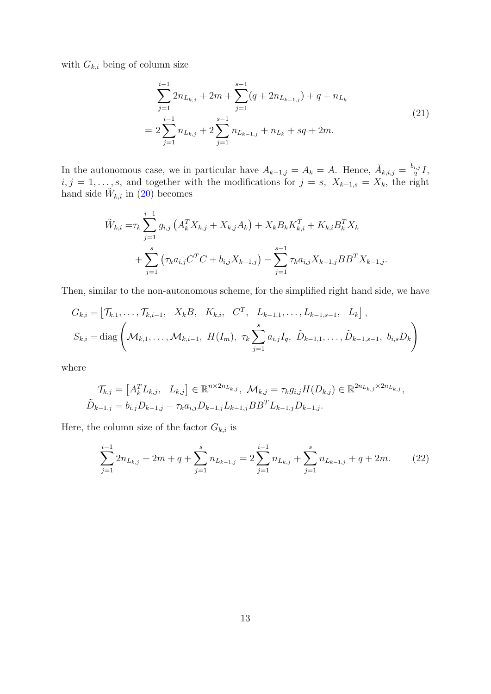with  $G_{k,i}$  being of column size

<span id="page-12-0"></span>
$$
\sum_{j=1}^{i-1} 2n_{L_{k,j}} + 2m + \sum_{j=1}^{s-1} (q + 2n_{L_{k-1,j}}) + q + n_{L_k}
$$
  
= 
$$
2\sum_{j=1}^{i-1} n_{L_{k,j}} + 2\sum_{j=1}^{s-1} n_{L_{k-1,j}} + n_{L_k} + sq + 2m.
$$
 (21)

In the autonomous case, we in particular have  $A_{k-1,j} = A_k = A$ . Hence,  $\check{A}_{k,i,j} = \frac{b_{i,j}}{2}$  $\frac{i,j}{2}I,$  $i, j = 1, \ldots, s$ , and together with the modifications for  $j = s$ ,  $X_{k-1,s} = X_k$ , the right hand side  $\tilde{W}_{k,i}$  in [\(20\)](#page-11-0) becomes

$$
\tilde{W}_{k,i} = \tau_k \sum_{j=1}^{i-1} g_{i,j} \left( A_k^T X_{k,j} + X_{k,j} A_k \right) + X_k B_k K_{k,i}^T + K_{k,i} B_k^T X_k \n+ \sum_{j=1}^s \left( \tau_k a_{i,j} C^T C + b_{i,j} X_{k-1,j} \right) - \sum_{j=1}^{s-1} \tau_k a_{i,j} X_{k-1,j} B B^T X_{k-1,j}.
$$

Then, similar to the non-autonomous scheme, for the simplified right hand side, we have

$$
G_{k,i} = [\mathcal{T}_{k,1}, \dots, \mathcal{T}_{k,i-1}, X_k B, K_{k,i}, C^T, L_{k-1,1}, \dots, L_{k-1,s-1}, L_k],
$$
  

$$
S_{k,i} = \text{diag}\left(\mathcal{M}_{k,1}, \dots, \mathcal{M}_{k,i-1}, H(I_m), \tau_k \sum_{j=1}^s a_{i,j} I_q, \tilde{D}_{k-1,1}, \dots, \tilde{D}_{k-1,s-1}, b_{i,s} D_k\right)
$$

where

$$
\mathcal{T}_{k,j} = \begin{bmatrix} A_k^T L_{k,j}, & L_{k,j} \end{bmatrix} \in \mathbb{R}^{n \times 2n_{L_{k,j}}}, \ \mathcal{M}_{k,j} = \tau_k g_{i,j} H(D_{k,j}) \in \mathbb{R}^{2n_{L_{k,j}} \times 2n_{L_{k,j}}},
$$
  

$$
\tilde{D}_{k-1,j} = b_{i,j} D_{k-1,j} - \tau_k a_{i,j} D_{k-1,j} L_{k-1,j} B B^T L_{k-1,j} D_{k-1,j}.
$$

Here, the column size of the factor  $G_{k,i}$  is

<span id="page-12-1"></span>
$$
\sum_{j=1}^{i-1} 2n_{L_{k,j}} + 2m + q + \sum_{j=1}^{s} n_{L_{k-1,j}} = 2\sum_{j=1}^{i-1} n_{L_{k,j}} + \sum_{j=1}^{s} n_{L_{k-1,j}} + q + 2m.
$$
 (22)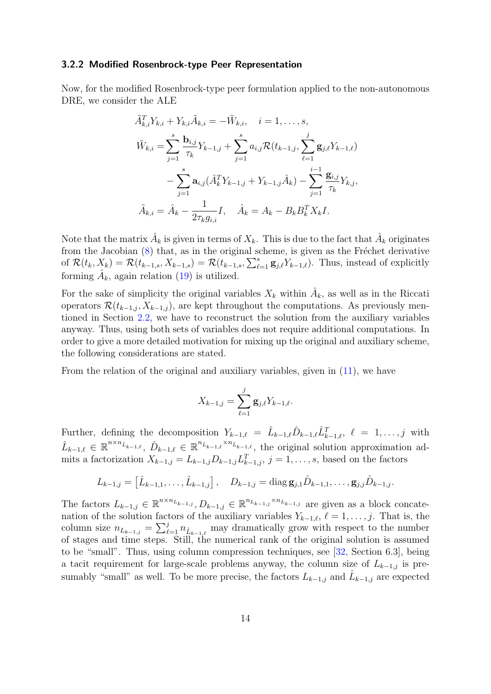#### 3.2.2 Modified Rosenbrock-type Peer Representation

Now, for the modified Rosenbrock-type peer formulation applied to the non-autonomous DRE, we consider the ALE

$$
\tilde{A}_{k,i}^T Y_{k,i} + Y_{k,i} \tilde{A}_{k,i} = -\tilde{W}_{k,i}, \quad i = 1, ..., s,
$$
  

$$
\tilde{W}_{k,i} = \sum_{j=1}^s \frac{\mathbf{b}_{i,j}}{\tau_k} Y_{k-1,j} + \sum_{j=1}^s a_{i,j} \mathcal{R}(t_{k-1,j}, \sum_{\ell=1}^j \mathbf{g}_{j,\ell} Y_{k-1,\ell})
$$

$$
- \sum_{j=1}^s \mathbf{a}_{i,j} (\hat{A}_k^T Y_{k-1,j} + Y_{k-1,j} \hat{A}_k) - \sum_{j=1}^{i-1} \frac{\mathbf{g}_{i,j}}{\tau_k} Y_{k,j},
$$

$$
\tilde{A}_{k,i} = \hat{A}_k - \frac{1}{2\tau_k g_{i,i}} I, \quad \hat{A}_k = A_k - B_k B_k^T X_k I.
$$

Note that the matrix  $\hat{A}_k$  is given in terms of  $X_k$ . This is due to the fact that  $\hat{A}_k$  originates from the Jacobian  $(8)$  that, as in the original scheme, is given as the Fréchet derivative of  $\mathcal{R}(t_k, X_k) = \mathcal{R}(t_{k-1,s}, X_{k-1,s}) = \mathcal{R}(t_{k-1,s}, \sum_{\ell=1}^s \mathbf{g}_{j,\ell} Y_{k-1,\ell}).$  Thus, instead of explicitly forming  $\hat{A}_k$ , again relation [\(19\)](#page-10-0) is utilized.

For the sake of simplicity the original variables  $X_k$  within  $\hat{A}_k$ , as well as in the Riccati operators  $\mathcal{R}(t_{k-1,j}, X_{k-1,j})$ , are kept throughout the computations. As previously mentioned in Section [2.2,](#page-5-4) we have to reconstruct the solution from the auxiliary variables anyway. Thus, using both sets of variables does not require additional computations. In order to give a more detailed motivation for mixing up the original and auxiliary scheme, the following considerations are stated.

From the relation of the original and auxiliary variables, given in [\(11\)](#page-6-0), we have

$$
X_{k-1,j} = \sum_{\ell=1}^{j} \mathbf{g}_{j,\ell} Y_{k-1,\ell}.
$$

Further, defining the decomposition  $Y_{k-1,\ell} = \hat{L}_{k-1,\ell} \hat{D}_{k-1,\ell} \hat{L}_{k-1,\ell}^T$ ,  $\ell = 1, \ldots, j$  with  $\hat{L}_{k-1,\ell} \in \mathbb{R}^{n \times n_{\hat{L}_{k-1,\ell}}}, \ \hat{D}_{k-1,\ell} \in \mathbb{R}^{n_{\hat{L}_{k-1,\ell}} \times n_{\hat{L}_{k-1,\ell}}},$  the original solution approximation admits a factorization  $X_{k-1,j} = L_{k-1,j} D_{k-1,j} L_{k-1,j}^T$ ,  $j = 1, \ldots, s$ , based on the factors

$$
L_{k-1,j} = \left[\hat{L}_{k-1,1}, \ldots, \hat{L}_{k-1,j}\right], \quad D_{k-1,j} = \text{diag } \mathbf{g}_{j,1} \hat{D}_{k-1,1}, \ldots, \mathbf{g}_{j,j} \hat{D}_{k-1,j}.
$$

The factors  $L_{k-1,j} \in \mathbb{R}^{n \times n_{L_{k-1,j}}}, D_{k-1,j} \in \mathbb{R}^{n_{L_{k-1,j}} \times n_{L_{k-1,j}}}$  are given as a block concatenation of the solution factors of the auxiliary variables  $Y_{k-1,\ell}, \ell = 1, \ldots, j$ . That is, the column size  $n_{L_{k-1,j}} = \sum_{\ell=1}^j n_{\hat{L}_{k-1,\ell}}$  may dramatically grow with respect to the number of stages and time steps. Still, the numerical rank of the original solution is assumed to be "small". Thus, using column compression techniques, see [\[32,](#page-26-8) Section 6.3], being a tacit requirement for large-scale problems anyway, the column size of  $L_{k-1,j}$  is presumably "small" as well. To be more precise, the factors  $L_{k-1,j}$  and  $\hat{L}_{k-1,j}$  are expected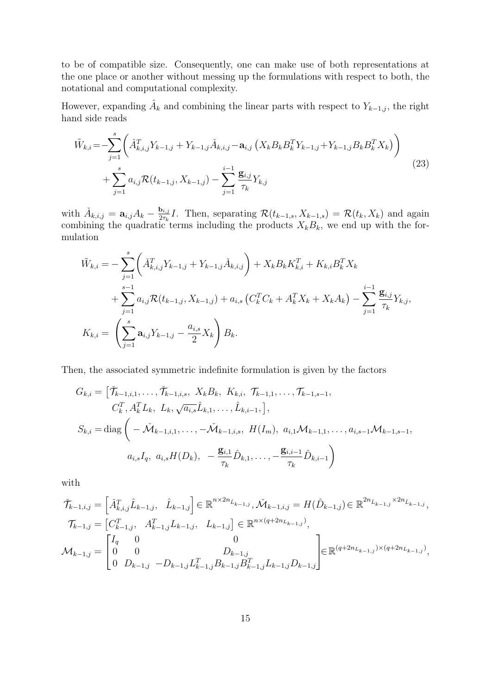to be of compatible size. Consequently, one can make use of both representations at the one place or another without messing up the formulations with respect to both, the notational and computational complexity.

However, expanding  $\hat{A}_k$  and combining the linear parts with respect to  $Y_{k-1,j}$ , the right hand side reads

<span id="page-14-0"></span>
$$
\tilde{W}_{k,i} = -\sum_{j=1}^{s} \left( \tilde{A}_{k,i,j}^{T} Y_{k-1,j} + Y_{k-1,j} \tilde{A}_{k,i,j} - \mathbf{a}_{i,j} \left( X_{k} B_{k} B_{k}^{T} Y_{k-1,j} + Y_{k-1,j} B_{k} B_{k}^{T} X_{k} \right) \right) \n+ \sum_{j=1}^{s} a_{i,j} \mathcal{R}(t_{k-1,j}, X_{k-1,j}) - \sum_{j=1}^{i-1} \frac{\mathbf{g}_{i,j}}{\tau_{k}} Y_{k,j}
$$
\n(23)

with  $\check{A}_{k,i,j} = \mathbf{a}_{i,j} A_k - \frac{\mathbf{b}_{i,j}}{2\tau_k}$  $\frac{\mathbf{b}_{i,j}}{2\tau_k}I$ . Then, separating  $\mathcal{R}(t_{k-1,s}, X_{k-1,s}) = \mathcal{R}(t_k, X_k)$  and again combining the quadratic terms including the products  $X_kB_k$ , we end up with the formulation

$$
\tilde{W}_{k,i} = -\sum_{j=1}^{s} \left( \tilde{A}_{k,i,j}^{T} Y_{k-1,j} + Y_{k-1,j} \tilde{A}_{k,i,j} \right) + X_k B_k K_{k,i}^{T} + K_{k,i} B_k^{T} X_k \n+ \sum_{j=1}^{s-1} a_{i,j} \mathcal{R}(t_{k-1,j}, X_{k-1,j}) + a_{i,s} \left( C_k^{T} C_k + A_k^{T} X_k + X_k A_k \right) - \sum_{j=1}^{i-1} \frac{\mathbf{g}_{i,j}}{\tau_k} Y_{k,j},
$$
\n
$$
K_{k,i} = \left( \sum_{j=1}^{s} \mathbf{a}_{i,j} Y_{k-1,j} - \frac{a_{i,s}}{2} X_k \right) B_k.
$$

Then, the associated symmetric indefinite formulation is given by the factors

$$
G_{k,i} = \left[ \check{\mathcal{T}}_{k-1,i,1}, \dots, \check{\mathcal{T}}_{k-1,i,s}, X_k B_k, K_{k,i}, \mathcal{T}_{k-1,1}, \dots, \mathcal{T}_{k-1,s-1},
$$
  
\n
$$
C_k^T, A_k^T L_k, L_k, \sqrt{a_{i,s}} \hat{L}_{k,1}, \dots, \hat{L}_{k,i-1}, \right],
$$
  
\n
$$
S_{k,i} = \text{diag} \left( -\check{\mathcal{M}}_{k-1,i,1}, \dots, -\check{\mathcal{M}}_{k-1,i,s}, H(I_m), a_{i,1} \mathcal{M}_{k-1,1}, \dots, a_{i,s-1} \mathcal{M}_{k-1,s-1},
$$
  
\n
$$
a_{i,s} I_q, a_{i,s} H(D_k), -\frac{\mathbf{g}_{i,1}}{\tau_k} \hat{D}_{k,1}, \dots, -\frac{\mathbf{g}_{i,i-1}}{\tau_k} \hat{D}_{k,i-1} \right)
$$

with

$$
\tilde{\mathcal{T}}_{k-1,i,j} = \begin{bmatrix} \tilde{A}_{k,i,j}^T \hat{L}_{k-1,j}, & \hat{L}_{k-1,j} \end{bmatrix} \in \mathbb{R}^{n \times 2n_{\hat{L}_{k-1,j}}}, \tilde{\mathcal{M}}_{k-1,i,j} = H(\hat{D}_{k-1,j}) \in \mathbb{R}^{2n_{\hat{L}_{k-1,j}}} \times 2n_{\hat{L}_{k-1,j}},
$$
\n
$$
\mathcal{T}_{k-1,j} = \begin{bmatrix} C_{k-1,j}^T, & A_{k-1,j}^T L_{k-1,j}, & L_{k-1,j} \end{bmatrix} \in \mathbb{R}^{n \times (q+2n_{L_{k-1,j}})},
$$
\n
$$
\mathcal{M}_{k-1,j} = \begin{bmatrix} I_q & 0 & 0 \\ 0 & 0 & D_{k-1,j} \\ 0 & D_{k-1,j} & -D_{k-1,j} L_{k-1,j}^T B_{k-1,j} B_{k-1,j}^T L_{k-1,j} D_{k-1,j} \end{bmatrix} \in \mathbb{R}^{(q+2n_{L_{k-1,j}}) \times (q+2n_{L_{k-1,j}})},
$$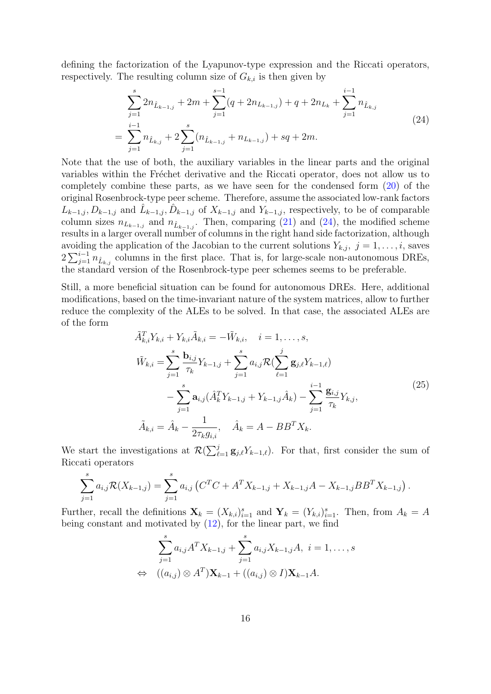defining the factorization of the Lyapunov-type expression and the Riccati operators, respectively. The resulting column size of  $G_{k,i}$  is then given by

<span id="page-15-0"></span>
$$
\sum_{j=1}^{s} 2n_{\hat{L}_{k-1,j}} + 2m + \sum_{j=1}^{s-1} (q + 2n_{L_{k-1,j}}) + q + 2n_{L_k} + \sum_{j=1}^{i-1} n_{\hat{L}_{k,j}} \n= \sum_{j=1}^{i-1} n_{\hat{L}_{k,j}} + 2 \sum_{j=1}^{s} (n_{\hat{L}_{k-1,j}} + n_{L_{k-1,j}}) + sq + 2m.
$$
\n(24)

Note that the use of both, the auxiliary variables in the linear parts and the original variables within the Fréchet derivative and the Riccati operator, does not allow us to completely combine these parts, as we have seen for the condensed form [\(20\)](#page-11-0) of the original Rosenbrock-type peer scheme. Therefore, assume the associated low-rank factors  $L_{k-1,j}, D_{k-1,j}$  and  $\hat{L}_{k-1,j}, \hat{D}_{k-1,j}$  of  $X_{k-1,j}$  and  $Y_{k-1,j}$ , respectively, to be of comparable column sizes  $n_{L_{k-1,j}}$  and  $n_{\hat{L}_{k-1,j}}$ . Then, comparing [\(21\)](#page-12-0) and [\(24\)](#page-15-0), the modified scheme results in a larger overall number of columns in the right hand side factorization, although avoiding the application of the Jacobian to the current solutions  $Y_{k,j}, j = 1, \ldots, i$ , saves  $2\sum_{j=1}^{i-1} n_{\hat{L}_{k,j}}$  columns in the first place. That is, for large-scale non-autonomous DREs, the standard version of the Rosenbrock-type peer schemes seems to be preferable.

Still, a more beneficial situation can be found for autonomous DREs. Here, additional modifications, based on the time-invariant nature of the system matrices, allow to further reduce the complexity of the ALEs to be solved. In that case, the associated ALEs are of the form

<span id="page-15-1"></span>
$$
\tilde{A}_{k,i}^T Y_{k,i} + Y_{k,i} \tilde{A}_{k,i} = -\tilde{W}_{k,i}, \quad i = 1, ..., s,
$$
\n
$$
\tilde{W}_{k,i} = \sum_{j=1}^s \frac{\mathbf{b}_{i,j}}{\tau_k} Y_{k-1,j} + \sum_{j=1}^s a_{i,j} \mathcal{R}(\sum_{\ell=1}^j \mathbf{g}_{j,\ell} Y_{k-1,\ell}) - \sum_{j=1}^s \mathbf{a}_{i,j} (\hat{A}_k^T Y_{k-1,j} + Y_{k-1,j} \hat{A}_k) - \sum_{j=1}^{i-1} \frac{\mathbf{g}_{i,j}}{\tau_k} Y_{k,j},
$$
\n
$$
\tilde{A}_{k,i} = \hat{A}_k - \frac{1}{2\tau_k g_{i,i}}, \quad \hat{A}_k = A - BB^T X_k.
$$
\n(25)

We start the investigations at  $\mathcal{R}(\sum_{\ell=1}^j \mathbf{g}_{j,\ell} Y_{k-1,\ell})$ . For that, first consider the sum of Riccati operators

$$
\sum_{j=1}^{s} a_{i,j} \mathcal{R}(X_{k-1,j}) = \sum_{j=1}^{s} a_{i,j} \left( C^{T} C + A^{T} X_{k-1,j} + X_{k-1,j} A - X_{k-1,j} B B^{T} X_{k-1,j} \right).
$$

Further, recall the definitions  $\mathbf{X}_k = (X_{k,i})_{i=1}^s$  and  $\mathbf{Y}_k = (Y_{k,i})_{i=1}^s$ . Then, from  $A_k = A$ being constant and motivated by [\(12\)](#page-6-2), for the linear part, we find

$$
\sum_{j=1}^{s} a_{i,j} A^{T} X_{k-1,j} + \sum_{j=1}^{s} a_{i,j} X_{k-1,j} A, \ i = 1, ..., s
$$
  
\n
$$
\Leftrightarrow ((a_{i,j}) \otimes A^{T}) \mathbf{X}_{k-1} + ((a_{i,j}) \otimes I) \mathbf{X}_{k-1} A.
$$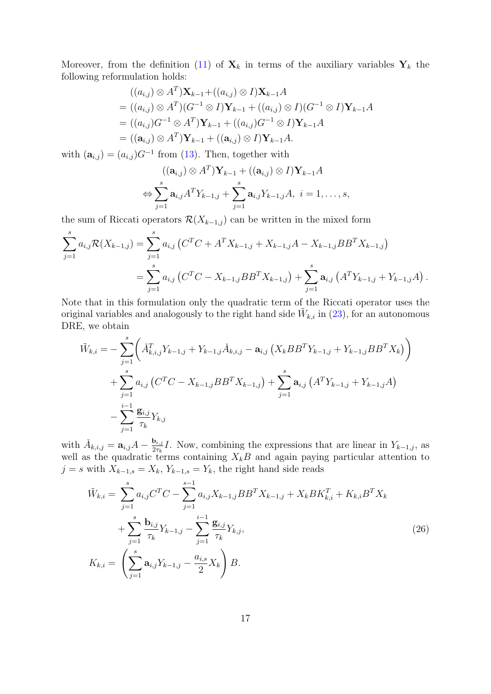Moreover, from the definition [\(11\)](#page-6-0) of  $\mathbf{X}_k$  in terms of the auxiliary variables  $\mathbf{Y}_k$  the following reformulation holds:

$$
((a_{i,j}) \otimes A^T) \mathbf{X}_{k-1} + ((a_{i,j}) \otimes I) \mathbf{X}_{k-1} A
$$
  
=  $((a_{i,j}) \otimes A^T) (G^{-1} \otimes I) \mathbf{Y}_{k-1} + ((a_{i,j}) \otimes I) (G^{-1} \otimes I) \mathbf{Y}_{k-1} A$   
=  $((a_{i,j})G^{-1} \otimes A^T) \mathbf{Y}_{k-1} + ((a_{i,j})G^{-1} \otimes I) \mathbf{Y}_{k-1} A$   
=  $((\mathbf{a}_{i,j}) \otimes A^T) \mathbf{Y}_{k-1} + ((\mathbf{a}_{i,j}) \otimes I) \mathbf{Y}_{k-1} A$ .

with  $(\mathbf{a}_{i,j}) = (a_{i,j})G^{-1}$  from [\(13\)](#page-6-3). Then, together with

$$
((\mathbf{a}_{i,j}) \otimes A^T) \mathbf{Y}_{k-1} + ((\mathbf{a}_{i,j}) \otimes I) \mathbf{Y}_{k-1} A
$$
  
\n
$$
\Leftrightarrow \sum_{j=1}^s \mathbf{a}_{i,j} A^T Y_{k-1,j} + \sum_{j=1}^s \mathbf{a}_{i,j} Y_{k-1,j} A, \ i = 1, \dots, s,
$$

the sum of Riccati operators  $\mathcal{R}(X_{k-1,j})$  can be written in the mixed form

$$
\sum_{j=1}^{s} a_{i,j} \mathcal{R}(X_{k-1,j}) = \sum_{j=1}^{s} a_{i,j} \left( C^{T} C + A^{T} X_{k-1,j} + X_{k-1,j} A - X_{k-1,j} B B^{T} X_{k-1,j} \right)
$$
  
= 
$$
\sum_{j=1}^{s} a_{i,j} \left( C^{T} C - X_{k-1,j} B B^{T} X_{k-1,j} \right) + \sum_{j=1}^{s} \mathbf{a}_{i,j} \left( A^{T} Y_{k-1,j} + Y_{k-1,j} A \right).
$$

Note that in this formulation only the quadratic term of the Riccati operator uses the original variables and analogously to the right hand side  $\tilde{W}_{k,i}$  in [\(23\)](#page-14-0), for an autonomous DRE, we obtain

$$
\tilde{W}_{k,i} = -\sum_{j=1}^{s} \left( \tilde{A}_{k,i,j}^{T} Y_{k-1,j} + Y_{k-1,j} \tilde{A}_{k,i,j} - \mathbf{a}_{i,j} \left( X_{k} B B^{T} Y_{k-1,j} + Y_{k-1,j} B B^{T} X_{k} \right) \right) \n+ \sum_{j=1}^{s} a_{i,j} \left( C^{T} C - X_{k-1,j} B B^{T} X_{k-1,j} \right) + \sum_{j=1}^{s} \mathbf{a}_{i,j} \left( A^{T} Y_{k-1,j} + Y_{k-1,j} A \right) \n- \sum_{j=1}^{i-1} \frac{\mathbf{g}_{i,j}}{\tau_{k}} Y_{k,j}
$$

with  $\check{A}_{k,i,j} = \mathbf{a}_{i,j}A - \frac{\mathbf{b}_{i,j}}{2\tau_k}$  $\frac{\mathbf{b}_{i,j}}{2\tau_k}I$ . Now, combining the expressions that are linear in  $Y_{k-1,j}$ , as well as the quadratic terms containing  $X_kB$  and again paying particular attention to  $j = s$  with  $X_{k-1,s} = X_k$ ,  $Y_{k-1,s} = Y_k$ , the right hand side reads

<span id="page-16-0"></span>
$$
\tilde{W}_{k,i} = \sum_{j=1}^{s} a_{i,j} C^{T} C - \sum_{j=1}^{s-1} a_{i,j} X_{k-1,j} B B^{T} X_{k-1,j} + X_{k} B K_{k,i}^{T} + K_{k,i} B^{T} X_{k} \n+ \sum_{j=1}^{s} \frac{\mathbf{b}_{i,j}}{\tau_{k}} Y_{k-1,j} - \sum_{j=1}^{i-1} \frac{\mathbf{g}_{i,j}}{\tau_{k}} Y_{k,j},
$$
\n
$$
K_{k,i} = \left( \sum_{j=1}^{s} \mathbf{a}_{i,j} Y_{k-1,j} - \frac{a_{i,s}}{2} X_{k} \right) B.
$$
\n(26)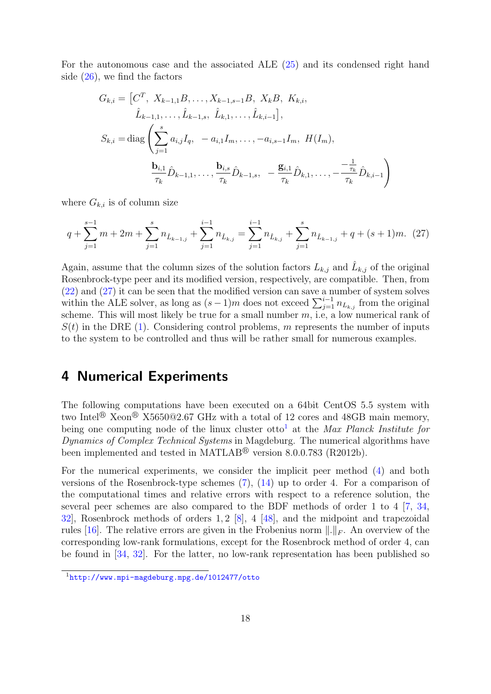For the autonomous case and the associated ALE [\(25\)](#page-15-1) and its condensed right hand side [\(26\)](#page-16-0), we find the factors

<span id="page-17-1"></span>
$$
G_{k,i} = \begin{bmatrix} C^T, X_{k-1,1}B, \dots, X_{k-1,s-1}B, X_kB, K_{k,i}, \\ \hat{L}_{k-1,1}, \dots, \hat{L}_{k-1,s}, \hat{L}_{k,1}, \dots, \hat{L}_{k,i-1} \end{bmatrix},
$$
  

$$
S_{k,i} = \text{diag}\left(\sum_{j=1}^s a_{i,j}I_q, -a_{i,1}I_m, \dots, -a_{i,s-1}I_m, H(I_m), \dots, \frac{\mathbf{b}_{i,1}}{\tau_k}\hat{D}_{k-1,1}, \dots, \frac{\mathbf{b}_{i,s}}{\tau_k}\hat{D}_{k-1,s}, -\frac{\mathbf{g}_{i,1}}{\tau_k}\hat{D}_{k,1}, \dots, -\frac{\mathbf{b}_{i,k}}{\tau_k}\hat{D}_{k,i-1}\right)
$$

where  $G_{k,i}$  is of column size

$$
q + \sum_{j=1}^{s-1} m + 2m + \sum_{j=1}^{s} n_{\hat{L}_{k-1,j}} + \sum_{j=1}^{i-1} n_{\hat{L}_{k,j}} = \sum_{j=1}^{i-1} n_{\hat{L}_{k,j}} + \sum_{j=1}^{s} n_{\hat{L}_{k-1,j}} + q + (s+1)m. \tag{27}
$$

Again, assume that the column sizes of the solution factors  $L_{k,j}$  and  $\hat{L}_{k,j}$  of the original Rosenbrock-type peer and its modified version, respectively, are compatible. Then, from [\(22\)](#page-12-1) and [\(27\)](#page-17-1) it can be seen that the modified version can save a number of system solves within the ALE solver, as long as  $(s-1)m$  does not exceed  $\sum_{j=1}^{i-1} n_{L_{k,j}}$  from the original scheme. This will most likely be true for a small number  $m$ , i.e, a low numerical rank of  $S(t)$  in the DRE [\(1\)](#page-1-0). Considering control problems, m represents the number of inputs to the system to be controlled and thus will be rather small for numerous examples.

## <span id="page-17-0"></span>4 Numerical Experiments

The following computations have been executed on a 64bit CentOS 5.5 system with two Intel<sup>®</sup> Xeon<sup>®</sup> X5650@2.67 GHz with a total of 12 cores and 48GB main memory, being one computing node of the linux cluster otto<sup>[1](#page-17-2)</sup> at the Max Planck Institute for Dynamics of Complex Technical Systems in Magdeburg. The numerical algorithms have been implemented and tested in MATLAB<sup>®</sup> version 8.0.0.783 (R2012b).

For the numerical experiments, we consider the implicit peer method [\(4\)](#page-3-2) and both versions of the Rosenbrock-type schemes [\(7\)](#page-5-0), [\(14\)](#page-6-4) up to order 4. For a comparison of the computational times and relative errors with respect to a reference solution, the several peer schemes are also compared to the BDF methods of order 1 to 4 [\[7,](#page-25-2) [34,](#page-26-7) [32\]](#page-26-8), Rosenbrock methods of orders 1, 2 [\[8\]](#page-25-3), 4 [\[48\]](#page-28-9), and the midpoint and trapezoidal rules [\[16\]](#page-25-1). The relative errors are given in the Frobenius norm  $\|.\|_F$ . An overview of the corresponding low-rank formulations, except for the Rosenbrock method of order 4, can be found in [\[34,](#page-26-7) [32\]](#page-26-8). For the latter, no low-rank representation has been published so

<span id="page-17-2"></span><sup>1</sup><http://www.mpi-magdeburg.mpg.de/1012477/otto>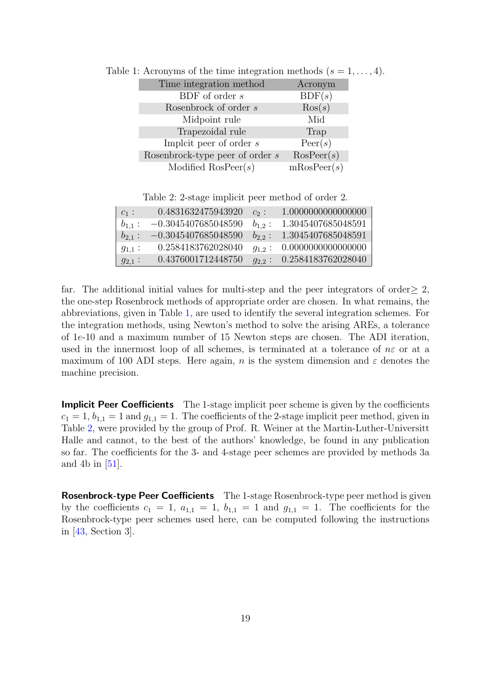| Time integration method |                                 | Acronym            |
|-------------------------|---------------------------------|--------------------|
|                         | BDF of order s                  | BDF(s)             |
|                         | Rosenbrock of order s           | $\text{Ros}(s)$    |
|                         | Midpoint rule                   | Mid                |
|                         | Trapezoidal rule                | Trap               |
|                         | Implict peer of order $s$       | $\text{Peer}(s)$   |
|                         | Rosenbrock-type peer of order s | $\text{RosPer}(s)$ |
|                         | Modified $\text{RosPeer}(s)$    | mRosPeer(s)        |

<span id="page-18-0"></span>Table 1: Acronyms of the time integration methods  $(s = 1, \ldots, 4)$ .

Table 2: 2-stage implicit peer method of order 2.

<span id="page-18-1"></span>

| $c_1$ :     | 0.4831632475943920    | $c_2$ :     | 1.0000000000000000 |
|-------------|-----------------------|-------------|--------------------|
| $b_{1,1}$ : | $-0.3045407685048590$ | $b_{1,2}$ : | 1.3045407685048591 |
| $b_{2,1}$ : | $-0.3045407685048590$ | $b_{2,2}$ : | 1.3045407685048591 |
| $g_{1,1}$ : | 0.2584183762028040    | $g_{1,2}$ : | 0.0000000000000000 |
| $g_{2,1}$ : | 0.4376001712448750    | $q_{2,2}$   | 0.2584183762028040 |

far. The additional initial values for multi-step and the peer integrators of order $\geq 2$ , the one-step Rosenbrock methods of appropriate order are chosen. In what remains, the abbreviations, given in Table [1,](#page-18-0) are used to identify the several integration schemes. For the integration methods, using Newton's method to solve the arising AREs, a tolerance of 1e-10 and a maximum number of 15 Newton steps are chosen. The ADI iteration, used in the innermost loop of all schemes, is terminated at a tolerance of  $n\varepsilon$  or at a maximum of 100 ADI steps. Here again, n is the system dimension and  $\varepsilon$  denotes the machine precision.

**Implicit Peer Coefficients** The 1-stage implicit peer scheme is given by the coefficients  $c_1 = 1, b_{1,1} = 1$  and  $g_{1,1} = 1$ . The coefficients of the 2-stage implicit peer method, given in Table [2,](#page-18-1) were provided by the group of Prof. R. Weiner at the Martin-Luther-Universitt Halle and cannot, to the best of the authors' knowledge, be found in any publication so far. The coefficients for the 3- and 4-stage peer schemes are provided by methods 3a and 4b in [\[51\]](#page-28-6).

Rosenbrock-type Peer Coefficients The 1-stage Rosenbrock-type peer method is given by the coefficients  $c_1 = 1$ ,  $a_{1,1} = 1$ ,  $b_{1,1} = 1$  and  $g_{1,1} = 1$ . The coefficients for the Rosenbrock-type peer schemes used here, can be computed following the instructions in [\[43,](#page-27-7) Section 3].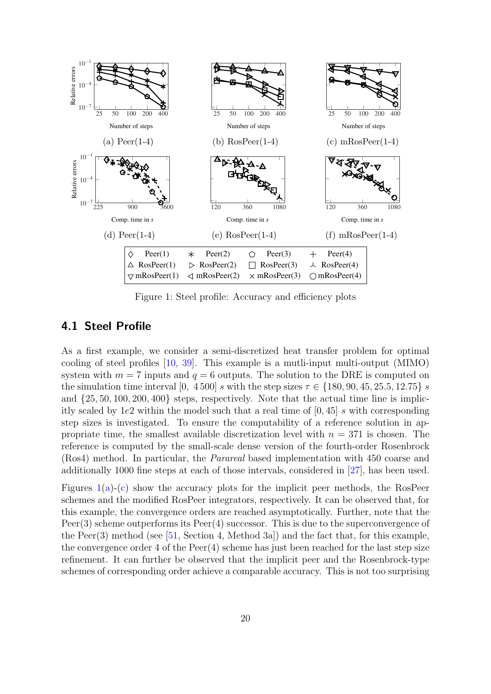<span id="page-19-0"></span>

Figure 1: Steel profile: Accuracy and efficiency plots

## Table 3: Steel profile: Computational timings and relative Frobenius errors with respect to 4.1 Steel Profile

As a first example, we consider a semi-discretized heat transfer problem for optimal cooling of steel profiles  $[10, 39]$  $[10, 39]$  $[10, 39]$ . This example is a mutli-input multi-output  $(MIMO)$ system with  $m = 7$  inputs and  $q = 6$  outputs. The solution to the DRE is computed on the simulation time interval [0, 4500] s with the step sizes  $\tau \in \{180, 90, 45, 25.5, 12.75\}$  s  $\frac{1}{2}$  tope requestively. Note that the and  $\{25, 50, 100, 200, 400\}$  steps, respectively. Note that the actual time line is implicitly scaled by 1e2 within the model such that a real time of  $[0, 45]$  s with corresponding step sizes is investigated. To ensure the computability of a reference solution in appropriate time, the smallest available discretization level with  $n = 371$  is chosen. The  $\tau$  the amell goals dense version of reference is computed by the small-scale dense version of the fourth-order Rosenbrock (Ros4) method. In particular, the *Parareal* based implementation with 450 coarse and additionally 1000 fine steps at each of those intervals, considered in  $[27]$ , has been used.

Figures  $1(a)-(c)$  $1(a)-(c)$  $1(a)-(c)$  show the accuracy plots for the implicit peer methods, the RosPeer schemes and the modified RosPeer integrators, respectively. It can be observed that, for this example, the convergence orders are reached asymptotically. Further, note that the  $R_{\text{P}}$  $Peer(3)$  scheme outperforms its  $Peer(4)$  successor. This is due to the superconvergence of the Peer(3) method (see  $[51, Section 4, Method 3a]$  $[51, Section 4, Method 3a]$ ) and the fact that, for this example, the convergence order 4 of the  $Peer(4)$  scheme has just been reached for the last step size refinement. It can further be observed that the implicit peer and the Rosenbrock-type schemes of corresponding order achieve a comparable accuracy. This is not too surprising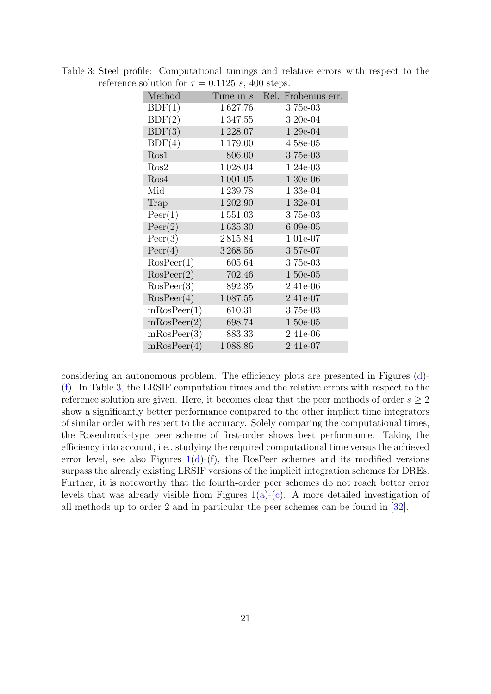|               | Time in s Rel. Frobenius err. |
|---------------|-------------------------------|
| 1627.76       | $3.75e-03$                    |
| 1347.55       | $3.20e-04$                    |
| 1228.07       | 1.29e-04                      |
| 1179.00       | $4.58e-05$                    |
| 806.00        | 3.75e-03                      |
| 1028.04       | $1.24e-03$                    |
| 1 0 0 1 . 0 5 | $1.30e-06$                    |
| 1239.78       | 1.33e-04                      |
| 1 202.90      | 1.32e-04                      |
| 1551.03       | $3.75e-03$                    |
| 1635.30       | $6.09e-05$                    |
| 2815.84       | 1.01e-07                      |
| 3268.56       | 3.57e-07                      |
| 605.64        | 3.75e-03                      |
| 702.46        | $1.50e-05$                    |
| 892.35        | 2.41e-06                      |
| 1087.55       | 2.41e-07                      |
| 610.31        | 3.75e-03                      |
| 698.74        | $1.50e-05$                    |
| 883.33        | 2.41e-06                      |
| 1088.86       | 2.41e-07                      |
|               | mRosPeer(4)                   |

<span id="page-20-0"></span>Table 3: Steel profile: Computational timings and relative errors with respect to the reference solution for  $\tau = 0.1125$  s, 400 steps.

considering an autonomous problem. The efficiency plots are presented in Figures [\(d\)](#page-19-0)- [\(f\)](#page-19-0). In Table [3,](#page-20-0) the LRSIF computation times and the relative errors with respect to the reference solution are given. Here, it becomes clear that the peer methods of order  $s \geq 2$ show a significantly better performance compared to the other implicit time integrators of similar order with respect to the accuracy. Solely comparing the computational times, the Rosenbrock-type peer scheme of first-order shows best performance. Taking the efficiency into account, i.e., studying the required computational time versus the achieved error level, see also Figures  $1(d)$ -[\(f\)](#page-19-0), the RosPeer schemes and its modified versions surpass the already existing LRSIF versions of the implicit integration schemes for DREs. Further, it is noteworthy that the fourth-order peer schemes do not reach better error levels that was already visible from Figures  $1(a)-(c)$  $1(a)-(c)$  $1(a)-(c)$ . A more detailed investigation of all methods up to order 2 and in particular the peer schemes can be found in [\[32\]](#page-26-8).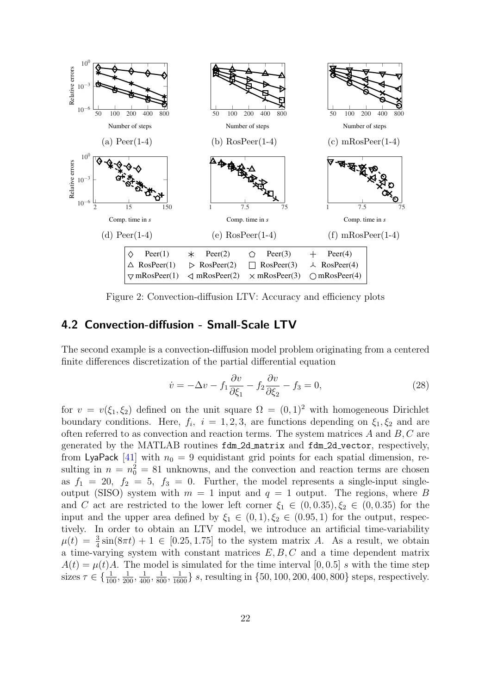<span id="page-21-0"></span>

Figure 2: Convection-diffusion LTV: Accuracy and efficiency plots

## 4.2 Convection-diffusion - Small-Scale LTV

Method Time in *s* Rel. Frobenius err. finite differences discretization of the partial differential equation The second example is a convection-diffusion model problem originating from a centered

<span id="page-21-1"></span>
$$
\dot{v} = -\Delta v - f_1 \frac{\partial v}{\partial \xi_1} - f_2 \frac{\partial v}{\partial \xi_2} - f_3 = 0,\tag{28}
$$

 $R = \begin{bmatrix} 1 & 1 & 1 \end{bmatrix}$ for  $v = v(\xi_1, \xi_2)$  defined on the unit square  $\Omega = (0, 1)^2$  with homogeneous Dirichlet boundary conditions. Here,  $f_i$ ,  $i = 1, 2, 3$ , are functions depending on  $\xi_1, \xi_2$  and are often referred to as convection and reaction terms. The system matrices  $A$  and  $B, C$  are generated by the MATLAB routines fdm 2d matrix and fdm 2d vector, respectively,  $\frac{1}{2}$   $\frac{1}{2}$   $\frac{1}{2}$   $\frac{1}{2}$   $\frac{1}{2}$   $\frac{1}{2}$   $\frac{1}{2}$   $\frac{1}{2}$   $\frac{1}{2}$   $\frac{1}{2}$   $\frac{1}{2}$   $\frac{1}{2}$   $\frac{1}{2}$   $\frac{1}{2}$   $\frac{1}{2}$   $\frac{1}{2}$   $\frac{1}{2}$   $\frac{1}{2}$   $\frac{1}{2}$   $\frac{1}{2}$   $\frac{1}{2}$   $\frac{1}{2}$  from LyaPack  $[41]$  with  $n_0 = 9$  equidistant grid points for each spatial dimension, resulting in  $n = n_0^2 = 81$  unknowns, and the convection and reaction terms are chosen as  $f_1 = 20$ ,  $f_2 = 5$ ,  $f_3 = 0$ . Further, the model represents a single-input singleoutput (SISO) system with  $m = 1$  input and  $q = 1$  output. The regions, where B  $R_{\text{max}}$   $R_{\text{max}}$   $R_{\text{max}}$   $R_{\text{max}}$   $R_{\text{max}}$   $R_{\text{max}}$   $R_{\text{max}}$   $R_{\text{max}}$   $R_{\text{max}}$   $R_{\text{max}}$   $R_{\text{max}}$   $R_{\text{max}}$   $R_{\text{max}}$   $R_{\text{max}}$   $R_{\text{max}}$   $R_{\text{max}}$   $R_{\text{max}}$   $R_{\text{max}}$   $R_{\text{max}}$   $R_{\text{max}}$   $R_{\text{max}}$   $R_{\text{max}}$  and C act are restricted to the lower left corner  $\xi_1 \in (0, 0.35), \xi_2 \in (0, 0.35)$  for the input and the upper area defined by  $\xi_1 \in (0, 1), \xi_2 \in (0.95, 1)$  for the output, respectively. In order to obtain an LTV model, we introduce an artificial time-variability  $[0.95, 1.75]$  to the gratem matrix  $\mu(t) = \frac{3}{4}\sin(8\pi t) + 1 \in [0.25, 1.75]$  to the system matrix A. As a result, we obtain a time-varying system with constant matrices  $E, B, C$  and a time dependent matrix  $A(t) = \mu(t)A$ . The model is simulated for the time interval [0,0.5] s with the time step sizes  $\tau \in \{\frac{1}{100}, \frac{1}{200}, \frac{1}{400}, \frac{1}{800}, \frac{1}{1600}\}\$  s, resulting in  $\{50, 100, 200, 400, 800\}$  steps, respectively.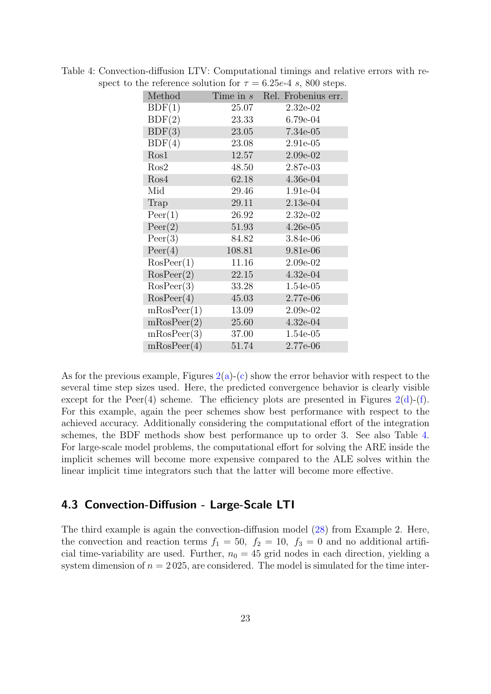|             |             | the reference solution for $\tau = 0.25e^{-4}$ s, out steps. |
|-------------|-------------|--------------------------------------------------------------|
| Method      | Time in $s$ | Rel. Frobenius err.                                          |
| BDF(1)      | 25.07       | $2.32e-02$                                                   |
| BDF(2)      | 23.33       | $6.79e-04$                                                   |
| BDF(3)      | 23.05       | 7.34e-05                                                     |
| BDF(4)      | 23.08       | 2.91e-05                                                     |
| Ros1        | 12.57       | 2.09e-02                                                     |
| Ros2        | 48.50       | 2.87e-03                                                     |
| Ros4        | 62.18       | $4.36e-04$                                                   |
| Mid         | 29.46       | 1.91e-04                                                     |
| Trap        | 29.11       | $2.13e-04$                                                   |
| Peer(1)     | 26.92       | $2.32e-02$                                                   |
| Peer(2)     | 51.93       | $4.26e-05$                                                   |
| Peer(3)     | 84.82       | 3.84e-06                                                     |
| Peer(4)     | 108.81      | 9.81e-06                                                     |
| RosPer(1)   | 11.16       | $2.09e-02$                                                   |
| RosPer(2)   | 22.15       | $4.32e-04$                                                   |
| RosPer(3)   | 33.28       | $1.54e-05$                                                   |
| RosPer(4)   | 45.03       | 2.77e-06                                                     |
| mRosPeer(1) | 13.09       | $2.09e-02$                                                   |
| mRosPeer(2) | 25.60       | $4.32e-04$                                                   |
| mRosPeer(3) | 37.00       | 1.54e-05                                                     |
| mRosPeer(4) | 51.74       | 2.77e-06                                                     |
|             |             |                                                              |

<span id="page-22-0"></span>Table 4: Convection-diffusion LTV: Computational timings and relative errors with respect to the reference solution for  $\tau = 6.25e-4$  s, 800 steps.

As for the previous example, Figures  $2(a)-(c)$  $2(a)-(c)$  $2(a)-(c)$  show the error behavior with respect to the several time step sizes used. Here, the predicted convergence behavior is clearly visible except for the Peer(4) scheme. The efficiency plots are presented in Figures  $2(d)$ -[\(f\)](#page-21-0). For this example, again the peer schemes show best performance with respect to the achieved accuracy. Additionally considering the computational effort of the integration schemes, the BDF methods show best performance up to order 3. See also Table [4.](#page-22-0) For large-scale model problems, the computational effort for solving the ARE inside the implicit schemes will become more expensive compared to the ALE solves within the linear implicit time integrators such that the latter will become more effective.

## 4.3 Convection-Diffusion - Large-Scale LTI

The third example is again the convection-diffusion model [\(28\)](#page-21-1) from Example 2. Here, the convection and reaction terms  $f_1 = 50$ ,  $f_2 = 10$ ,  $f_3 = 0$  and no additional artificial time-variability are used. Further,  $n_0 = 45$  grid nodes in each direction, yielding a system dimension of  $n = 2025$ , are considered. The model is simulated for the time inter-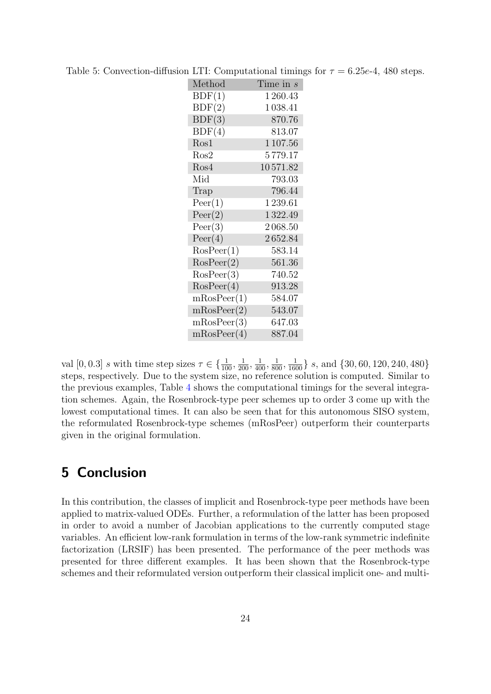| Method      | Time in $s$ |
|-------------|-------------|
| BDF(1)      | 1 260.43    |
| BDF(2)      | 1038.41     |
| BDF(3)      | 870.76      |
| BDF(4)      | 813.07      |
| Ros1        | 1 107.56    |
| Ros2        | 5 779.17    |
| Ros4        | 10571.82    |
| Mid         | 793.03      |
| Trap        | 796.44      |
| Peer(1)     | 1 239.61    |
| Peer(2)     | 1322.49     |
| Peer(3)     | 2068.50     |
| Peer(4)     | 2652.84     |
| RosPer(1)   | 583.14      |
| RosPer(2)   | 561.36      |
| RosPer(3)   | 740.52      |
| RosPer(4)   | 913.28      |
| mRosPeer(1) | 584.07      |
| mRosPeer(2) | 543.07      |
| mRosPeer(3) | 647.03      |
| mRosPeer(4) | 887.04      |

Table 5: Convection-diffusion LTI: Computational timings for  $\tau = 6.25e^{-4}$ , 480 steps.

val  $[0, 0.3]$  s with time step sizes  $\tau \in \{\frac{1}{100}, \frac{1}{200}, \frac{1}{400}, \frac{1}{800}, \frac{1}{1600}\}$  s, and  $\{30, 60, 120, 240, 480\}$ steps, respectively. Due to the system size, no reference solution is computed. Similar to the previous examples, Table [4](#page-22-0) shows the computational timings for the several integration schemes. Again, the Rosenbrock-type peer schemes up to order 3 come up with the lowest computational times. It can also be seen that for this autonomous SISO system, the reformulated Rosenbrock-type schemes (mRosPeer) outperform their counterparts given in the original formulation.

# <span id="page-23-0"></span>5 Conclusion

In this contribution, the classes of implicit and Rosenbrock-type peer methods have been applied to matrix-valued ODEs. Further, a reformulation of the latter has been proposed in order to avoid a number of Jacobian applications to the currently computed stage variables. An efficient low-rank formulation in terms of the low-rank symmetric indefinite factorization (LRSIF) has been presented. The performance of the peer methods was presented for three different examples. It has been shown that the Rosenbrock-type schemes and their reformulated version outperform their classical implicit one- and multi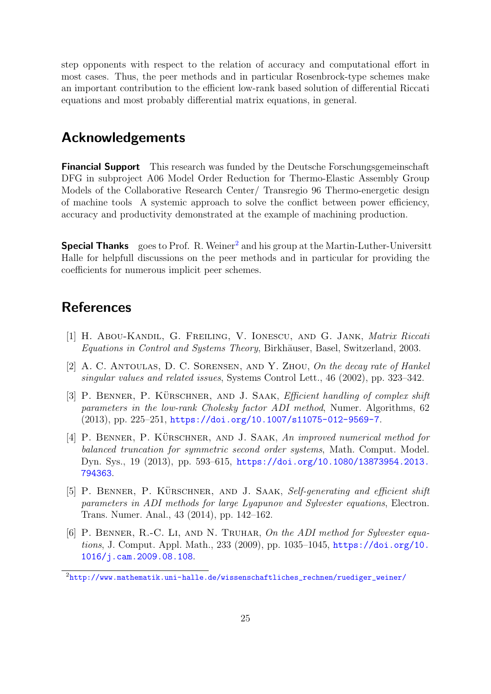step opponents with respect to the relation of accuracy and computational effort in most cases. Thus, the peer methods and in particular Rosenbrock-type schemes make an important contribution to the efficient low-rank based solution of differential Riccati equations and most probably differential matrix equations, in general.

## Acknowledgements

Financial Support This research was funded by the Deutsche Forschungsgemeinschaft DFG in subproject A06 Model Order Reduction for Thermo-Elastic Assembly Group Models of the Collaborative Research Center/ Transregio 96 Thermo-energetic design of machine tools A systemic approach to solve the conflict between power efficiency, accuracy and productivity demonstrated at the example of machining production.

**Special Thanks** goes to Prof. R. Weiner<sup>[2](#page-24-6)</sup> and his group at the Martin-Luther-Universitt Halle for helpfull discussions on the peer methods and in particular for providing the coefficients for numerous implicit peer schemes.

# **References**

- <span id="page-24-0"></span>[1] H. Abou-Kandil, G. Freiling, V. Ionescu, and G. Jank, Matrix Riccati Equations in Control and Systems Theory, Birkhäuser, Basel, Switzerland, 2003.
- <span id="page-24-1"></span>[2] A. C. ANTOULAS, D. C. SORENSEN, AND Y. ZHOU, On the decay rate of Hankel singular values and related issues, Systems Control Lett., 46 (2002), pp. 323–342.
- <span id="page-24-2"></span>[3] P. BENNER, P. KÜRSCHNER, AND J. SAAK, *Efficient handling of complex shift* parameters in the low-rank Cholesky factor ADI method, Numer. Algorithms, 62 (2013), pp. 225–251, <https://doi.org/10.1007/s11075-012-9569-7>.
- <span id="page-24-3"></span>[4] P. BENNER, P. KÜRSCHNER, AND J. SAAK, An improved numerical method for balanced truncation for symmetric second order systems, Math. Comput. Model. Dyn. Sys., 19 (2013), pp. 593–615, [https://doi.org/10.1080/13873954.2013.](https://doi.org/10.1080/13873954.2013.794363) [794363](https://doi.org/10.1080/13873954.2013.794363).
- <span id="page-24-4"></span>[5] P. BENNER, P. KÜRSCHNER, AND J. SAAK, Self-generating and efficient shift parameters in ADI methods for large Lyapunov and Sylvester equations, Electron. Trans. Numer. Anal., 43 (2014), pp. 142–162.
- <span id="page-24-5"></span>[6] P. BENNER, R.-C. LI, AND N. TRUHAR, On the ADI method for Sylvester equations, J. Comput. Appl. Math., 233 (2009), pp. 1035–1045, [https://doi.org/10.](https://doi.org/10.1016/j.cam.2009.08.108) [1016/j.cam.2009.08.108](https://doi.org/10.1016/j.cam.2009.08.108).

<span id="page-24-6"></span> $2$ [http://www.mathematik.uni-halle.de/wissenschaftliches\\_rechnen/ruediger\\_weiner/](http://www.mathematik.uni-halle.de/wissenschaftliches_rechnen/ruediger_weiner/)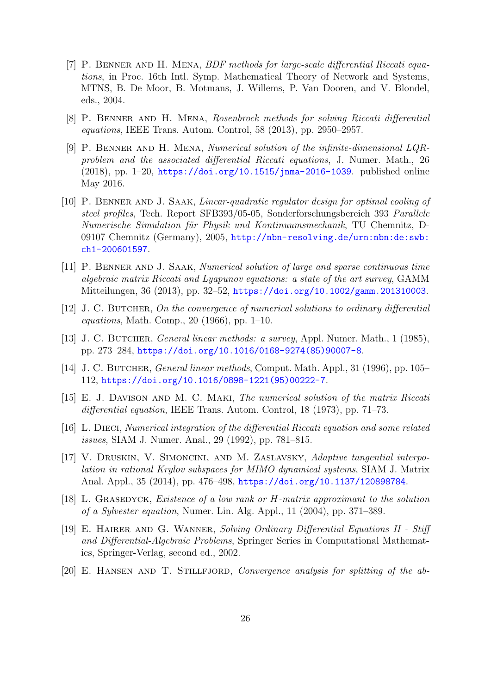- <span id="page-25-2"></span>[7] P. Benner and H. Mena, BDF methods for large-scale differential Riccati equations, in Proc. 16th Intl. Symp. Mathematical Theory of Network and Systems, MTNS, B. De Moor, B. Motmans, J. Willems, P. Van Dooren, and V. Blondel, eds., 2004.
- <span id="page-25-3"></span>[8] P. Benner and H. Mena, Rosenbrock methods for solving Riccati differential equations, IEEE Trans. Autom. Control, 58 (2013), pp. 2950–2957.
- <span id="page-25-4"></span>[9] P. Benner and H. Mena, Numerical solution of the infinite-dimensional LQRproblem and the associated differential Riccati equations, J. Numer. Math., 26 (2018), pp. 1–20, <https://doi.org/10.1515/jnma-2016-1039>. published online May 2016.
- <span id="page-25-13"></span>[10] P. BENNER AND J. SAAK, *Linear-quadratic regulator design for optimal cooling of* steel profiles, Tech. Report SFB393/05-05, Sonderforschungsbereich 393 Parallele Numerische Simulation für Physik und Kontinuumsmechanik, TU Chemnitz, D-09107 Chemnitz (Germany), 2005, [http://nbn-resolving.de/urn:nbn:de:swb:](http://nbn-resolving.de/urn:nbn:de:swb:ch1-200601597) [ch1-200601597](http://nbn-resolving.de/urn:nbn:de:swb:ch1-200601597).
- <span id="page-25-10"></span>[11] P. Benner and J. Saak, Numerical solution of large and sparse continuous time algebraic matrix Riccati and Lyapunov equations: a state of the art survey, GAMM Mitteilungen, 36 (2013), pp. 32–52, <https://doi.org/10.1002/gamm.201310003>.
- <span id="page-25-6"></span>[12] J. C. BUTCHER, On the convergence of numerical solutions to ordinary differential equations, Math. Comp., 20 (1966), pp. 1–10.
- <span id="page-25-7"></span>[13] J. C. Butcher, General linear methods: a survey, Appl. Numer. Math., 1 (1985), pp. 273–284, [https://doi.org/10.1016/0168-9274\(85\)90007-8](https://doi.org/10.1016/0168-9274(85)90007-8).
- <span id="page-25-8"></span>[14] J. C. BUTCHER, *General linear methods*, Comput. Math. Appl., 31 (1996), pp. 105– 112, [https://doi.org/10.1016/0898-1221\(95\)00222-7](https://doi.org/10.1016/0898-1221(95)00222-7).
- <span id="page-25-0"></span>[15] E. J. Davison and M. C. Maki, The numerical solution of the matrix Riccati differential equation, IEEE Trans. Autom. Control, 18 (1973), pp. 71–73.
- <span id="page-25-1"></span>[16] L. Dieci, Numerical integration of the differential Riccati equation and some related issues, SIAM J. Numer. Anal., 29 (1992), pp. 781–815.
- <span id="page-25-12"></span>[17] V. Druskin, V. Simoncini, and M. Zaslavsky, Adaptive tangential interpolation in rational Krylov subspaces for MIMO dynamical systems, SIAM J. Matrix Anal. Appl., 35 (2014), pp. 476–498, <https://doi.org/10.1137/120898784>.
- <span id="page-25-9"></span>[18] L. Grasedyck, Existence of a low rank or H-matrix approximant to the solution of a Sylvester equation, Numer. Lin. Alg. Appl., 11 (2004), pp. 371–389.
- <span id="page-25-11"></span>[19] E. Hairer and G. Wanner, Solving Ordinary Differential Equations II - Stiff and Differential-Algebraic Problems, Springer Series in Computational Mathematics, Springer-Verlag, second ed., 2002.
- <span id="page-25-5"></span>[20] E. Hansen and T. Stillfjord, Convergence analysis for splitting of the ab-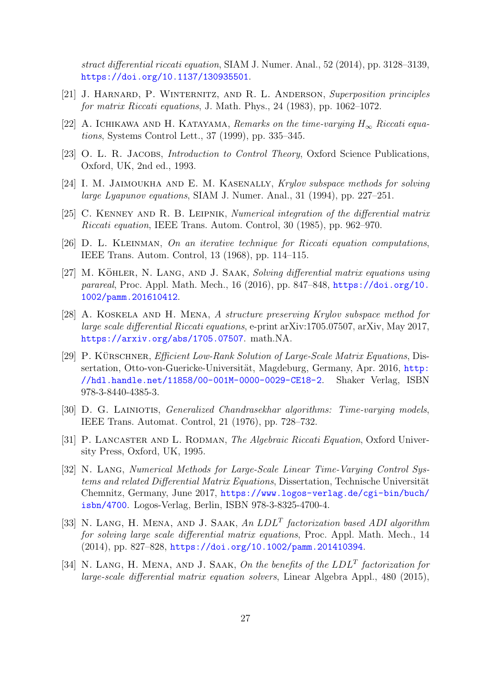stract differential riccati equation, SIAM J. Numer. Anal., 52 (2014), pp. 3128–3139, <https://doi.org/10.1137/130935501>.

- <span id="page-26-3"></span>[21] J. Harnard, P. Winternitz, and R. L. Anderson, Superposition principles for matrix Riccati equations, J. Math. Phys., 24 (1983), pp. 1062–1072.
- <span id="page-26-0"></span>[22] A. ICHIKAWA AND H. KATAYAMA, Remarks on the time-varying  $H_{\infty}$  Riccati equations, Systems Control Lett., 37 (1999), pp. 335–345.
- <span id="page-26-1"></span>[23] O. L. R. JACOBS, *Introduction to Control Theory*, Oxford Science Publications, Oxford, UK, 2nd ed., 1993.
- <span id="page-26-12"></span>[24] I. M. JAIMOUKHA AND E. M. KASENALLY, Krylov subspace methods for solving large Lyapunov equations, SIAM J. Numer. Anal., 31 (1994), pp. 227–251.
- <span id="page-26-4"></span>[25] C. Kenney and R. B. Leipnik, Numerical integration of the differential matrix Riccati equation, IEEE Trans. Autom. Control, 30 (1985), pp. 962–970.
- <span id="page-26-9"></span>[26] D. L. Kleinman, On an iterative technique for Riccati equation computations, IEEE Trans. Autom. Control, 13 (1968), pp. 114–115.
- <span id="page-26-13"></span>[27] M. KÖHLER, N. LANG, AND J. SAAK, Solving differential matrix equations using parareal, Proc. Appl. Math. Mech.,  $16$  (2016), pp. 847–848, [https://doi.org/10.](https://doi.org/10.1002/pamm.201610412) [1002/pamm.201610412](https://doi.org/10.1002/pamm.201610412).
- <span id="page-26-5"></span>[28] A. Koskela and H. Mena, A structure preserving Krylov subspace method for large scale differential Riccati equations, e-print arXiv:1705.07507, arXiv, May 2017, <https://arxiv.org/abs/1705.07507>. math.NA.
- <span id="page-26-11"></span>[29] P. KÜRSCHNER, *Efficient Low-Rank Solution of Large-Scale Matrix Equations*, Dissertation, Otto-von-Guericke-Universität, Magdeburg, Germany, Apr. 2016, [http:](http://hdl.handle.net/11858/00-001M-0000-0029-CE18-2) [//hdl.handle.net/11858/00-001M-0000-0029-CE18-2](http://hdl.handle.net/11858/00-001M-0000-0029-CE18-2). Shaker Verlag, ISBN 978-3-8440-4385-3.
- <span id="page-26-2"></span>[30] D. G. LAINIOTIS, *Generalized Chandrasekhar algorithms: Time-varying models*, IEEE Trans. Automat. Control, 21 (1976), pp. 728–732.
- <span id="page-26-10"></span>[31] P. LANCASTER AND L. RODMAN, *The Algebraic Riccati Equation*, Oxford University Press, Oxford, UK, 1995.
- <span id="page-26-8"></span>[32] N. LANG, Numerical Methods for Large-Scale Linear Time-Varying Control Systems and related Differential Matrix Equations, Dissertation, Technische Universität Chemnitz, Germany, June 2017, [https://www.logos-verlag.de/cgi-bin/buch/](https://www.logos-verlag.de/cgi-bin/buch/isbn/4700) [isbn/4700](https://www.logos-verlag.de/cgi-bin/buch/isbn/4700). Logos-Verlag, Berlin, ISBN 978-3-8325-4700-4.
- <span id="page-26-6"></span>[33] N. LANG, H. MENA, AND J. SAAK, An  $LDL<sup>T</sup>$  factorization based ADI algorithm for solving large scale differential matrix equations, Proc. Appl. Math. Mech., 14 (2014), pp. 827–828, <https://doi.org/10.1002/pamm.201410394>.
- <span id="page-26-7"></span>[34] N. LANG, H. MENA, AND J. SAAK, On the benefits of the  $LDL<sup>T</sup>$  factorization for large-scale differential matrix equation solvers, Linear Algebra Appl., 480 (2015),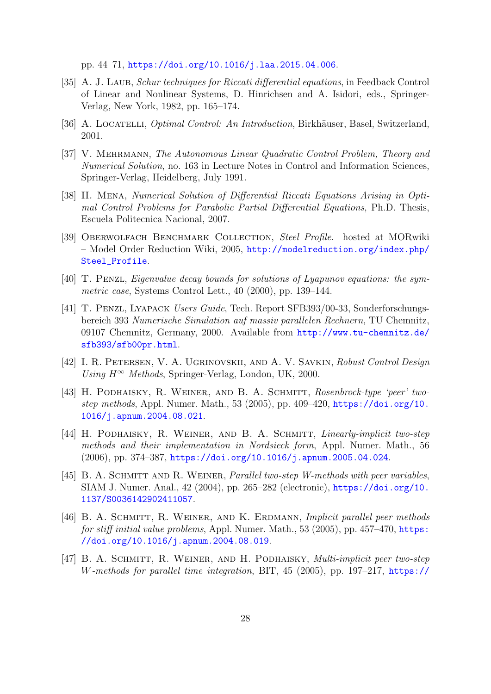pp. 44–71, <https://doi.org/10.1016/j.laa.2015.04.006>.

- <span id="page-27-2"></span>[35] A. J. LAUB, Schur techniques for Riccati differential equations, in Feedback Control of Linear and Nonlinear Systems, D. Hinrichsen and A. Isidori, eds., Springer-Verlag, New York, 1982, pp. 165–174.
- <span id="page-27-0"></span>[36] A. LOCATELLI, *Optimal Control: An Introduction*, Birkhäuser, Basel, Switzerland, 2001.
- <span id="page-27-3"></span>[37] V. Mehrmann, The Autonomous Linear Quadratic Control Problem, Theory and Numerical Solution, no. 163 in Lecture Notes in Control and Information Sciences, Springer-Verlag, Heidelberg, July 1991.
- <span id="page-27-4"></span>[38] H. Mena, Numerical Solution of Differential Riccati Equations Arising in Optimal Control Problems for Parabolic Partial Differential Equations, Ph.D. Thesis, Escuela Politecnica Nacional, 2007.
- <span id="page-27-11"></span>[39] OBERWOLFACH BENCHMARK COLLECTION, Steel Profile. hosted at MORwiki – Model Order Reduction Wiki, 2005, [http://modelreduction.org/index.php/](http://modelreduction.org/index.php/Steel_Profile) [Steel\\_Profile](http://modelreduction.org/index.php/Steel_Profile).
- <span id="page-27-5"></span>[40] T. Penzl, Eigenvalue decay bounds for solutions of Lyapunov equations: the symmetric case, Systems Control Lett., 40 (2000), pp. 139–144.
- <span id="page-27-12"></span>[41] T. Penzl, Lyapack Users Guide, Tech. Report SFB393/00-33, Sonderforschungsbereich 393 Numerische Simulation auf massiv parallelen Rechnern, TU Chemnitz, 09107 Chemnitz, Germany, 2000. Available from [http://www.tu-chemnitz.de/](http://www.tu-chemnitz.de/sfb393/sfb00pr.html) [sfb393/sfb00pr.html](http://www.tu-chemnitz.de/sfb393/sfb00pr.html).
- <span id="page-27-1"></span>[42] I. R. Petersen, V. A. Ugrinovskii, and A. V. Savkin, Robust Control Design Using  $H^{\infty}$  Methods, Springer-Verlag, London, UK, 2000.
- <span id="page-27-7"></span>[43] H. PODHAISKY, R. WEINER, AND B. A. SCHMITT, Rosenbrock-type 'peer' twostep methods, Appl. Numer. Math., 53 (2005), pp. 409–420, [https://doi.org/10.](https://doi.org/10.1016/j.apnum.2004.08.021) [1016/j.apnum.2004.08.021](https://doi.org/10.1016/j.apnum.2004.08.021).
- <span id="page-27-8"></span>[44] H. PODHAISKY, R. WEINER, AND B. A. SCHMITT, Linearly-implicit two-step methods and their implementation in Nordsieck form, Appl. Numer. Math., 56 (2006), pp. 374–387, <https://doi.org/10.1016/j.apnum.2005.04.024>.
- <span id="page-27-6"></span>[45] B. A. SCHMITT AND R. WEINER, *Parallel two-step W-methods with peer variables*, SIAM J. Numer. Anal., 42 (2004), pp. 265–282 (electronic), [https://doi.org/10.](https://doi.org/10.1137/S0036142902411057) [1137/S0036142902411057](https://doi.org/10.1137/S0036142902411057).
- <span id="page-27-9"></span>[46] B. A. Schmitt, R. Weiner, and K. Erdmann, Implicit parallel peer methods for stiff initial value problems, Appl. Numer. Math., 53 (2005), pp. 457–470, [https:](https://doi.org/10.1016/j.apnum.2004.08.019) [//doi.org/10.1016/j.apnum.2004.08.019](https://doi.org/10.1016/j.apnum.2004.08.019).
- <span id="page-27-10"></span>[47] B. A. Schmitt, R. Weiner, and H. Podhaisky, Multi-implicit peer two-step W-methods for parallel time integration, BIT, 45 (2005), pp. 197–217, [https://](https://doi.org/10.1007/s10543-005-2635-y)